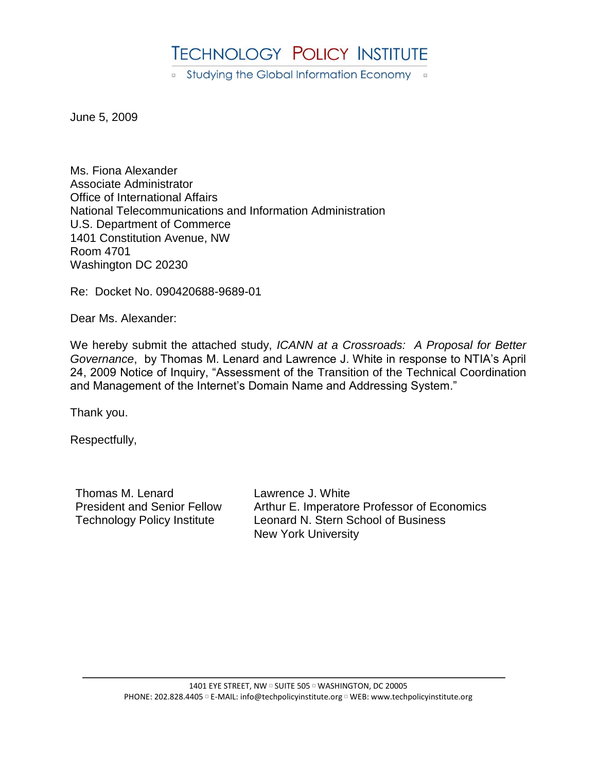# **TECHNOLOGY POLICY INSTITUTE**

■ Studying the Global Information Economy ■

June 5, 2009

Ms. Fiona Alexander Associate Administrator Office of International Affairs National Telecommunications and Information Administration U.S. Department of Commerce 1401 Constitution Avenue, NW Room 4701 Washington DC 20230

Re: Docket No. 090420688-9689-01

Dear Ms. Alexander:

We hereby submit the attached study, *ICANN at a Crossroads: A Proposal for Better Governance*, by Thomas M. Lenard and Lawrence J. White in response to NTIA's April 24, 2009 Notice of Inquiry, "Assessment of the Transition of the Technical Coordination and Management of the Internet's Domain Name and Addressing System."

Thank you.

Respectfully,

Thomas M. Lenard President and Senior Fellow Technology Policy Institute

Lawrence J. White Arthur E. Imperatore Professor of Economics Leonard N. Stern School of Business New York University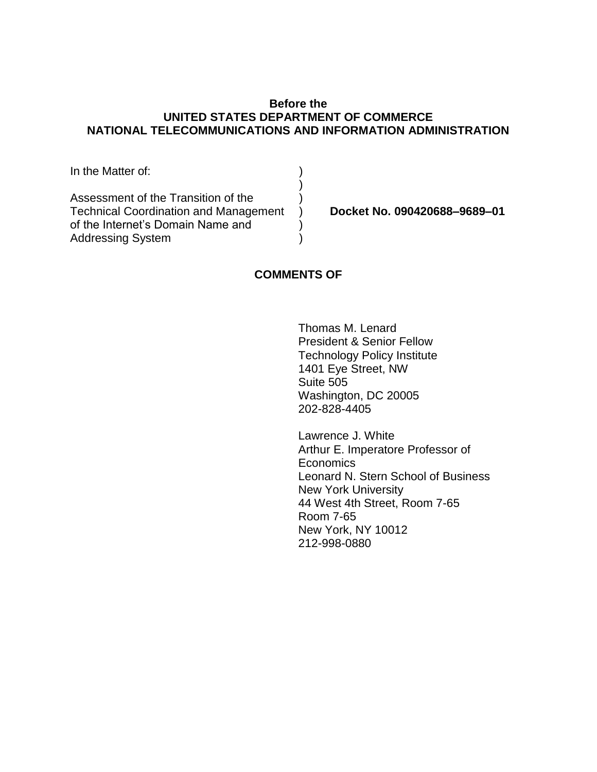# **Before the UNITED STATES DEPARTMENT OF COMMERCE NATIONAL TELECOMMUNICATIONS AND INFORMATION ADMINISTRATION**

| In the Matter of:                            |  |
|----------------------------------------------|--|
|                                              |  |
| Assessment of the Transition of the          |  |
| <b>Technical Coordination and Management</b> |  |
| of the Internet's Domain Name and            |  |
| <b>Addressing System</b>                     |  |

**Docket No. 090420688–9689–01**

# **COMMENTS OF**

Thomas M. Lenard President & Senior Fellow Technology Policy Institute 1401 Eye Street, NW Suite 505 Washington, DC 20005 202-828-4405

Lawrence J. White Arthur E. Imperatore Professor of **Economics** Leonard N. Stern School of Business New York University 44 West 4th Street, Room 7-65 Room 7-65 New York, NY 10012 212-998-0880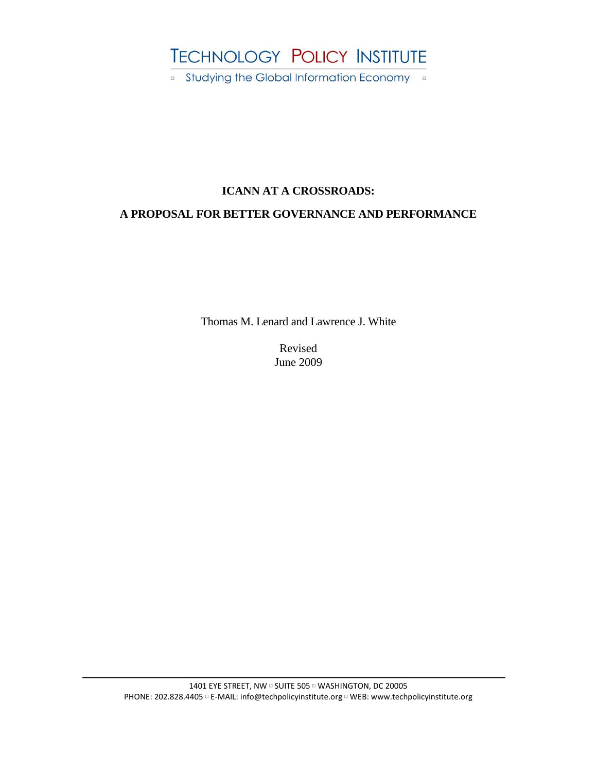# **TECHNOLOGY POLICY INSTITUTE**

■ Studying the Global Information Economy ■

# **ICANN AT A CROSSROADS:**

# **A PROPOSAL FOR BETTER GOVERNANCE AND PERFORMANCE**

Thomas M. Lenard and Lawrence J. White

Revised June 2009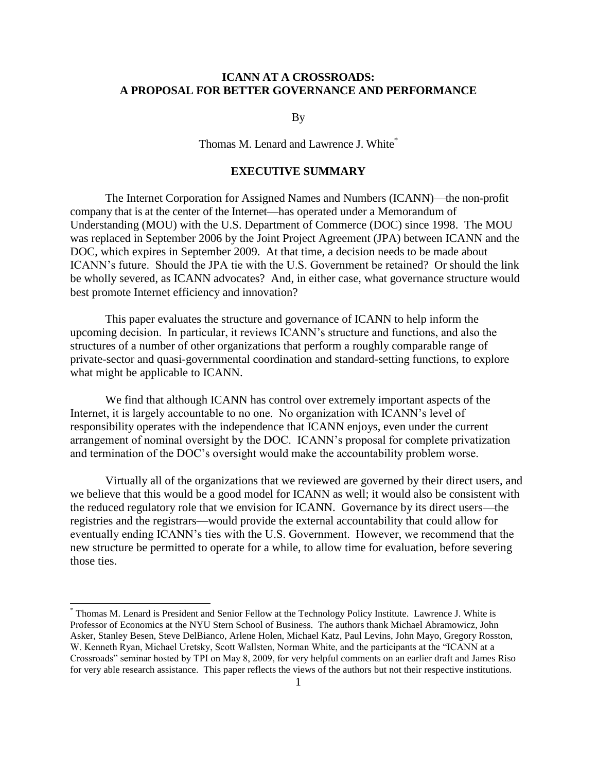# **ICANN AT A CROSSROADS: A PROPOSAL FOR BETTER GOVERNANCE AND PERFORMANCE**

By

Thomas M. Lenard and Lawrence J. White<sup>\*</sup>

# **EXECUTIVE SUMMARY**

The Internet Corporation for Assigned Names and Numbers (ICANN)—the non-profit company that is at the center of the Internet—has operated under a Memorandum of Understanding (MOU) with the U.S. Department of Commerce (DOC) since 1998. The MOU was replaced in September 2006 by the Joint Project Agreement (JPA) between ICANN and the DOC, which expires in September 2009. At that time, a decision needs to be made about ICANN's future. Should the JPA tie with the U.S. Government be retained? Or should the link be wholly severed, as ICANN advocates? And, in either case, what governance structure would best promote Internet efficiency and innovation?

This paper evaluates the structure and governance of ICANN to help inform the upcoming decision. In particular, it reviews ICANN's structure and functions, and also the structures of a number of other organizations that perform a roughly comparable range of private-sector and quasi-governmental coordination and standard-setting functions, to explore what might be applicable to ICANN.

We find that although ICANN has control over extremely important aspects of the Internet, it is largely accountable to no one. No organization with ICANN's level of responsibility operates with the independence that ICANN enjoys, even under the current arrangement of nominal oversight by the DOC. ICANN's proposal for complete privatization and termination of the DOC's oversight would make the accountability problem worse.

Virtually all of the organizations that we reviewed are governed by their direct users, and we believe that this would be a good model for ICANN as well; it would also be consistent with the reduced regulatory role that we envision for ICANN. Governance by its direct users—the registries and the registrars—would provide the external accountability that could allow for eventually ending ICANN's ties with the U.S. Government. However, we recommend that the new structure be permitted to operate for a while, to allow time for evaluation, before severing those ties.

l

<sup>\*</sup> Thomas M. Lenard is President and Senior Fellow at the Technology Policy Institute. Lawrence J. White is Professor of Economics at the NYU Stern School of Business. The authors thank Michael Abramowicz, John Asker, Stanley Besen, Steve DelBianco, Arlene Holen, Michael Katz, Paul Levins, John Mayo, Gregory Rosston, W. Kenneth Ryan, Michael Uretsky, Scott Wallsten, Norman White, and the participants at the "ICANN at a Crossroads‖ seminar hosted by TPI on May 8, 2009, for very helpful comments on an earlier draft and James Riso for very able research assistance. This paper reflects the views of the authors but not their respective institutions.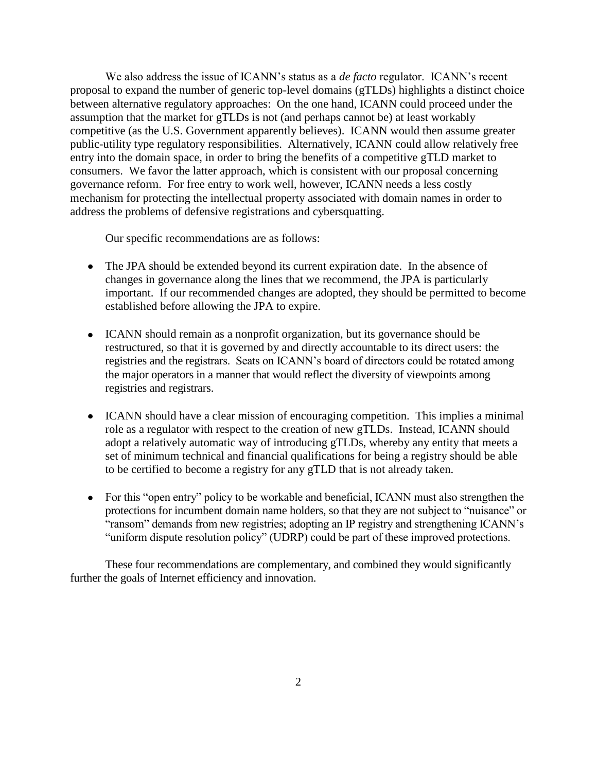We also address the issue of ICANN's status as a *de facto* regulator. ICANN's recent proposal to expand the number of generic top-level domains (gTLDs) highlights a distinct choice between alternative regulatory approaches: On the one hand, ICANN could proceed under the assumption that the market for gTLDs is not (and perhaps cannot be) at least workably competitive (as the U.S. Government apparently believes). ICANN would then assume greater public-utility type regulatory responsibilities. Alternatively, ICANN could allow relatively free entry into the domain space, in order to bring the benefits of a competitive gTLD market to consumers. We favor the latter approach, which is consistent with our proposal concerning governance reform. For free entry to work well, however, ICANN needs a less costly mechanism for protecting the intellectual property associated with domain names in order to address the problems of defensive registrations and cybersquatting.

Our specific recommendations are as follows:

- The JPA should be extended beyond its current expiration date. In the absence of changes in governance along the lines that we recommend, the JPA is particularly important. If our recommended changes are adopted, they should be permitted to become established before allowing the JPA to expire.
- ICANN should remain as a nonprofit organization, but its governance should be restructured, so that it is governed by and directly accountable to its direct users: the registries and the registrars. Seats on ICANN's board of directors could be rotated among the major operators in a manner that would reflect the diversity of viewpoints among registries and registrars.
- ICANN should have a clear mission of encouraging competition. This implies a minimal role as a regulator with respect to the creation of new gTLDs. Instead, ICANN should adopt a relatively automatic way of introducing gTLDs, whereby any entity that meets a set of minimum technical and financial qualifications for being a registry should be able to be certified to become a registry for any gTLD that is not already taken.
- For this "open entry" policy to be workable and beneficial, ICANN must also strengthen the protections for incumbent domain name holders, so that they are not subject to "nuisance" or "ransom" demands from new registries; adopting an IP registry and strengthening ICANN's "uniform dispute resolution policy" (UDRP) could be part of these improved protections.

These four recommendations are complementary, and combined they would significantly further the goals of Internet efficiency and innovation.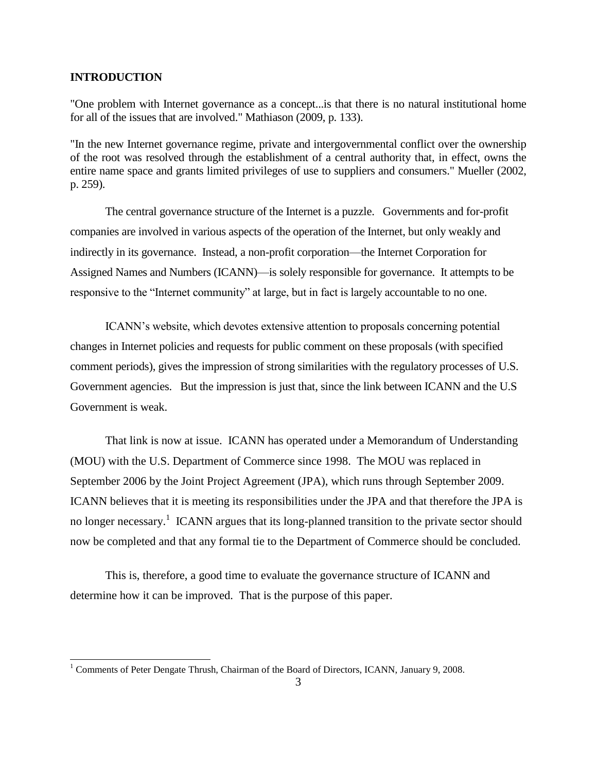# **INTRODUCTION**

 $\overline{a}$ 

"One problem with Internet governance as a concept...is that there is no natural institutional home for all of the issues that are involved." Mathiason (2009, p. 133).

"In the new Internet governance regime, private and intergovernmental conflict over the ownership of the root was resolved through the establishment of a central authority that, in effect, owns the entire name space and grants limited privileges of use to suppliers and consumers." Mueller (2002, p. 259).

The central governance structure of the Internet is a puzzle. Governments and for-profit companies are involved in various aspects of the operation of the Internet, but only weakly and indirectly in its governance. Instead, a non-profit corporation—the Internet Corporation for Assigned Names and Numbers (ICANN)—is solely responsible for governance. It attempts to be responsive to the "Internet community" at large, but in fact is largely accountable to no one.

ICANN's website, which devotes extensive attention to proposals concerning potential changes in Internet policies and requests for public comment on these proposals (with specified comment periods), gives the impression of strong similarities with the regulatory processes of U.S. Government agencies. But the impression is just that, since the link between ICANN and the U.S Government is weak.

That link is now at issue. ICANN has operated under a Memorandum of Understanding (MOU) with the U.S. Department of Commerce since 1998. The MOU was replaced in September 2006 by the Joint Project Agreement (JPA), which runs through September 2009. ICANN believes that it is meeting its responsibilities under the JPA and that therefore the JPA is no longer necessary.<sup>1</sup> ICANN argues that its long-planned transition to the private sector should now be completed and that any formal tie to the Department of Commerce should be concluded.

This is, therefore, a good time to evaluate the governance structure of ICANN and determine how it can be improved. That is the purpose of this paper.

<sup>&</sup>lt;sup>1</sup> Comments of Peter Dengate Thrush, Chairman of the Board of Directors, ICANN, January 9, 2008.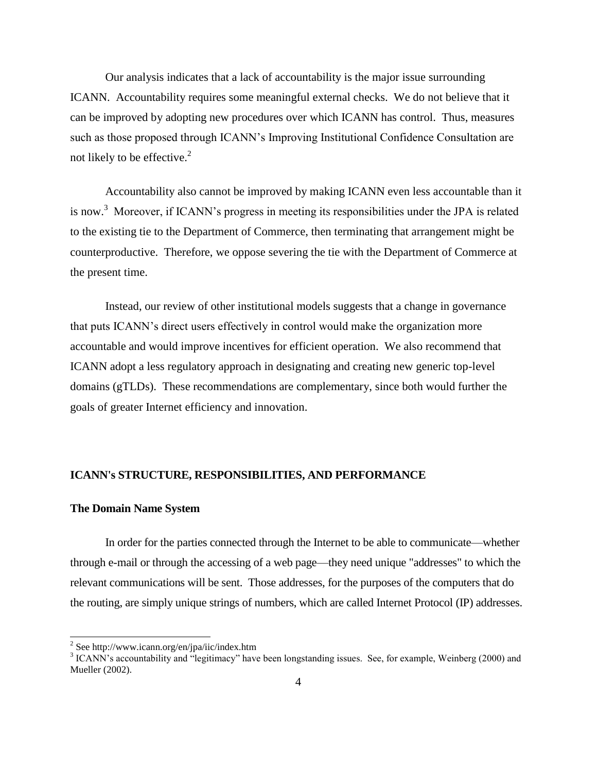Our analysis indicates that a lack of accountability is the major issue surrounding ICANN. Accountability requires some meaningful external checks. We do not believe that it can be improved by adopting new procedures over which ICANN has control. Thus, measures such as those proposed through ICANN's Improving Institutional Confidence Consultation are not likely to be effective.<sup>2</sup>

Accountability also cannot be improved by making ICANN even less accountable than it is now.<sup>3</sup> Moreover, if ICANN's progress in meeting its responsibilities under the JPA is related to the existing tie to the Department of Commerce, then terminating that arrangement might be counterproductive. Therefore, we oppose severing the tie with the Department of Commerce at the present time.

Instead, our review of other institutional models suggests that a change in governance that puts ICANN's direct users effectively in control would make the organization more accountable and would improve incentives for efficient operation. We also recommend that ICANN adopt a less regulatory approach in designating and creating new generic top-level domains (gTLDs). These recommendations are complementary, since both would further the goals of greater Internet efficiency and innovation.

## **ICANN's STRUCTURE, RESPONSIBILITIES, AND PERFORMANCE**

## **The Domain Name System**

 $\overline{a}$ 

In order for the parties connected through the Internet to be able to communicate—whether through e-mail or through the accessing of a web page—they need unique "addresses" to which the relevant communications will be sent. Those addresses, for the purposes of the computers that do the routing, are simply unique strings of numbers, which are called Internet Protocol (IP) addresses.

 $2$  See http://www.icann.org/en/jpa/iic/index.htm

 $3$  ICANN's accountability and "legitimacy" have been longstanding issues. See, for example, Weinberg (2000) and Mueller (2002).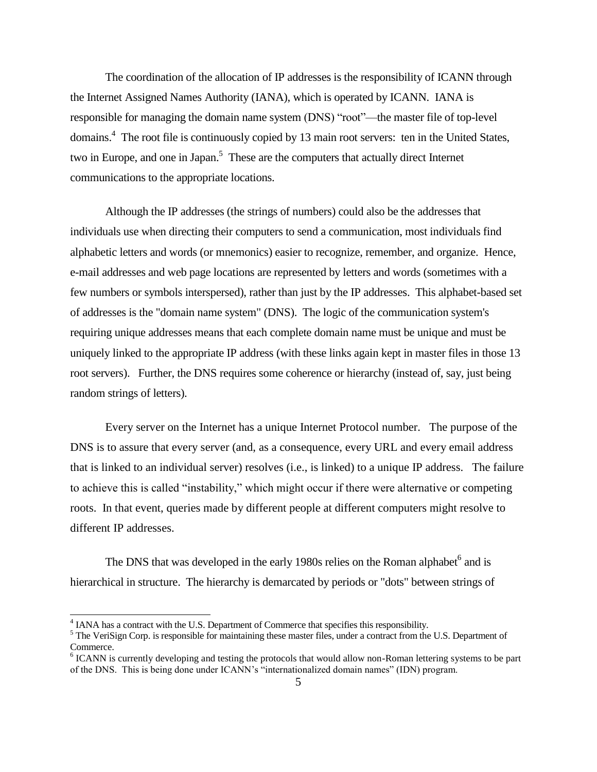The coordination of the allocation of IP addresses is the responsibility of ICANN through the Internet Assigned Names Authority (IANA), which is operated by ICANN. IANA is responsible for managing the domain name system (DNS) "root"—the master file of top-level domains.<sup>4</sup> The root file is continuously copied by 13 main root servers: ten in the United States, two in Europe, and one in Japan.<sup>5</sup> These are the computers that actually direct Internet communications to the appropriate locations.

Although the IP addresses (the strings of numbers) could also be the addresses that individuals use when directing their computers to send a communication, most individuals find alphabetic letters and words (or mnemonics) easier to recognize, remember, and organize. Hence, e-mail addresses and web page locations are represented by letters and words (sometimes with a few numbers or symbols interspersed), rather than just by the IP addresses. This alphabet-based set of addresses is the "domain name system" (DNS). The logic of the communication system's requiring unique addresses means that each complete domain name must be unique and must be uniquely linked to the appropriate IP address (with these links again kept in master files in those 13 root servers). Further, the DNS requires some coherence or hierarchy (instead of, say, just being random strings of letters).

Every server on the Internet has a unique Internet Protocol number. The purpose of the DNS is to assure that every server (and, as a consequence, every URL and every email address that is linked to an individual server) resolves (i.e., is linked) to a unique IP address. The failure to achieve this is called "instability," which might occur if there were alternative or competing roots. In that event, queries made by different people at different computers might resolve to different IP addresses.

The DNS that was developed in the early 1980s relies on the Roman alphabet<sup>6</sup> and is hierarchical in structure. The hierarchy is demarcated by periods or "dots" between strings of

 $\overline{a}$ 

<sup>&</sup>lt;sup>4</sup> IANA has a contract with the U.S. Department of Commerce that specifies this responsibility.

<sup>&</sup>lt;sup>5</sup> The VeriSign Corp. is responsible for maintaining these master files, under a contract from the U.S. Department of Commerce.

<sup>&</sup>lt;sup>6</sup> ICANN is currently developing and testing the protocols that would allow non-Roman lettering systems to be part of the DNS. This is being done under ICANN's "internationalized domain names" (IDN) program.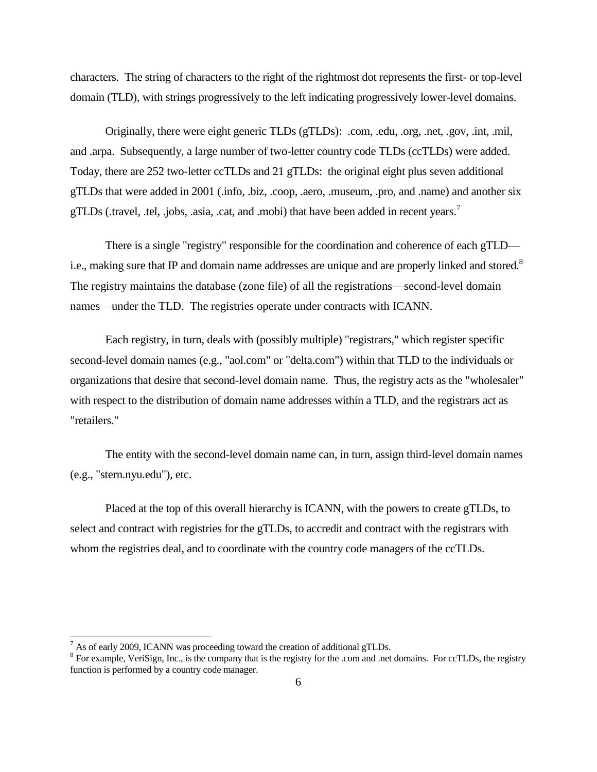characters. The string of characters to the right of the rightmost dot represents the first- or top-level domain (TLD), with strings progressively to the left indicating progressively lower-level domains.

Originally, there were eight generic TLDs (gTLDs): .com, .edu, .org, .net, .gov, .int, .mil, and .arpa. Subsequently, a large number of two-letter country code TLDs (ccTLDs) were added. Today, there are 252 two-letter ccTLDs and 21 gTLDs: the original eight plus seven additional gTLDs that were added in 2001 (.info, .biz, .coop, .aero, .museum, .pro, and .name) and another six gTLDs (.travel, .tel, .jobs, .asia, .cat, and .mobi) that have been added in recent years.<sup>7</sup>

There is a single "registry" responsible for the coordination and coherence of each gTLD i.e., making sure that IP and domain name addresses are unique and are properly linked and stored.<sup>8</sup> The registry maintains the database (zone file) of all the registrations—second-level domain names—under the TLD. The registries operate under contracts with ICANN.

Each registry, in turn, deals with (possibly multiple) "registrars," which register specific second-level domain names (e.g., "aol.com" or "delta.com") within that TLD to the individuals or organizations that desire that second-level domain name. Thus, the registry acts as the "wholesaler" with respect to the distribution of domain name addresses within a TLD, and the registrars act as "retailers."

The entity with the second-level domain name can, in turn, assign third-level domain names (e.g., "stern.nyu.edu"), etc.

Placed at the top of this overall hierarchy is ICANN, with the powers to create gTLDs, to select and contract with registries for the gTLDs, to accredit and contract with the registrars with whom the registries deal, and to coordinate with the country code managers of the ccTLDs.

 $\overline{a}$ 

As of early 2009, ICANN was proceeding toward the creation of additional gTLDs.

<sup>&</sup>lt;sup>8</sup> For example, VeriSign, Inc., is the company that is the registry for the .com and .net domains. For ccTLDs, the registry function is performed by a country code manager.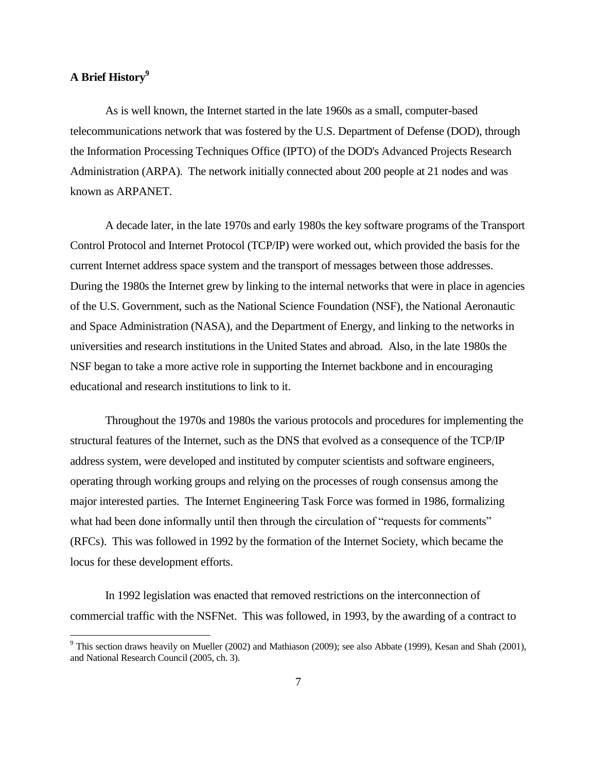# **A Brief History<sup>9</sup>**

l

As is well known, the Internet started in the late 1960s as a small, computer-based telecommunications network that was fostered by the U.S. Department of Defense (DOD), through the Information Processing Techniques Office (IPTO) of the DOD's Advanced Projects Research Administration (ARPA). The network initially connected about 200 people at 21 nodes and was known as ARPANET.

A decade later, in the late 1970s and early 1980s the key software programs of the Transport Control Protocol and Internet Protocol (TCP/IP) were worked out, which provided the basis for the current Internet address space system and the transport of messages between those addresses. During the 1980s the Internet grew by linking to the internal networks that were in place in agencies of the U.S. Government, such as the National Science Foundation (NSF), the National Aeronautic and Space Administration (NASA), and the Department of Energy, and linking to the networks in universities and research institutions in the United States and abroad. Also, in the late 1980s the NSF began to take a more active role in supporting the Internet backbone and in encouraging educational and research institutions to link to it.

Throughout the 1970s and 1980s the various protocols and procedures for implementing the structural features of the Internet, such as the DNS that evolved as a consequence of the TCP/IP address system, were developed and instituted by computer scientists and software engineers, operating through working groups and relying on the processes of rough consensus among the major interested parties. The Internet Engineering Task Force was formed in 1986, formalizing what had been done informally until then through the circulation of "requests for comments" (RFCs). This was followed in 1992 by the formation of the Internet Society, which became the locus for these development efforts.

In 1992 legislation was enacted that removed restrictions on the interconnection of commercial traffic with the NSFNet. This was followed, in 1993, by the awarding of a contract to

<sup>&</sup>lt;sup>9</sup> This section draws heavily on Mueller (2002) and Mathiason (2009); see also Abbate (1999), Kesan and Shah (2001), and National Research Council (2005, ch. 3).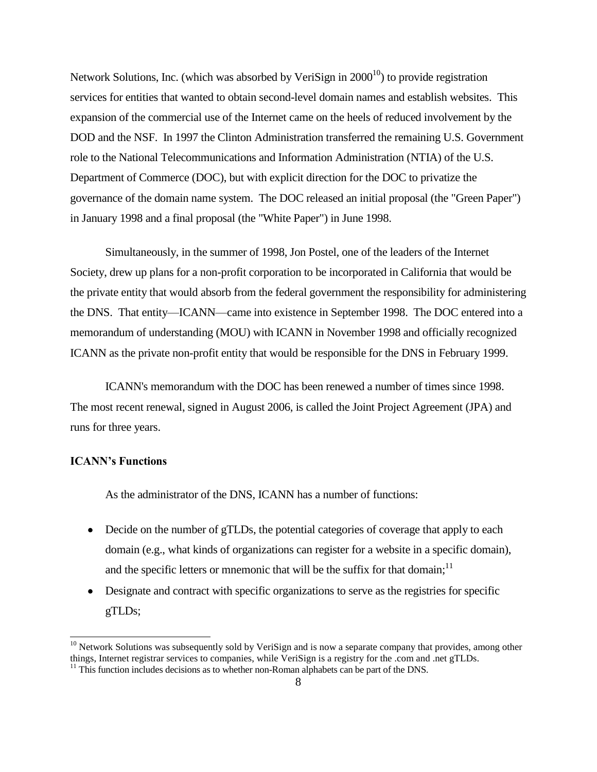Network Solutions, Inc. (which was absorbed by VeriSign in  $2000^{10}$ ) to provide registration services for entities that wanted to obtain second-level domain names and establish websites. This expansion of the commercial use of the Internet came on the heels of reduced involvement by the DOD and the NSF. In 1997 the Clinton Administration transferred the remaining U.S. Government role to the National Telecommunications and Information Administration (NTIA) of the U.S. Department of Commerce (DOC), but with explicit direction for the DOC to privatize the governance of the domain name system. The DOC released an initial proposal (the "Green Paper") in January 1998 and a final proposal (the "White Paper") in June 1998.

Simultaneously, in the summer of 1998, Jon Postel, one of the leaders of the Internet Society, drew up plans for a non-profit corporation to be incorporated in California that would be the private entity that would absorb from the federal government the responsibility for administering the DNS. That entity—ICANN—came into existence in September 1998. The DOC entered into a memorandum of understanding (MOU) with ICANN in November 1998 and officially recognized ICANN as the private non-profit entity that would be responsible for the DNS in February 1999.

ICANN's memorandum with the DOC has been renewed a number of times since 1998. The most recent renewal, signed in August 2006, is called the Joint Project Agreement (JPA) and runs for three years.

## **ICANN's Functions**

 $\overline{a}$ 

As the administrator of the DNS, ICANN has a number of functions:

- Decide on the number of gTLDs, the potential categories of coverage that apply to each domain (e.g., what kinds of organizations can register for a website in a specific domain), and the specific letters or mnemonic that will be the suffix for that domain;<sup>11</sup>
- Designate and contract with specific organizations to serve as the registries for specific gTLDs;

 $10$  Network Solutions was subsequently sold by VeriSign and is now a separate company that provides, among other things, Internet registrar services to companies, while VeriSign is a registry for the .com and .net gTLDs. <sup>11</sup> This function includes decisions as to whether non-Roman alphabets can be part of the DNS.

<sup>8</sup>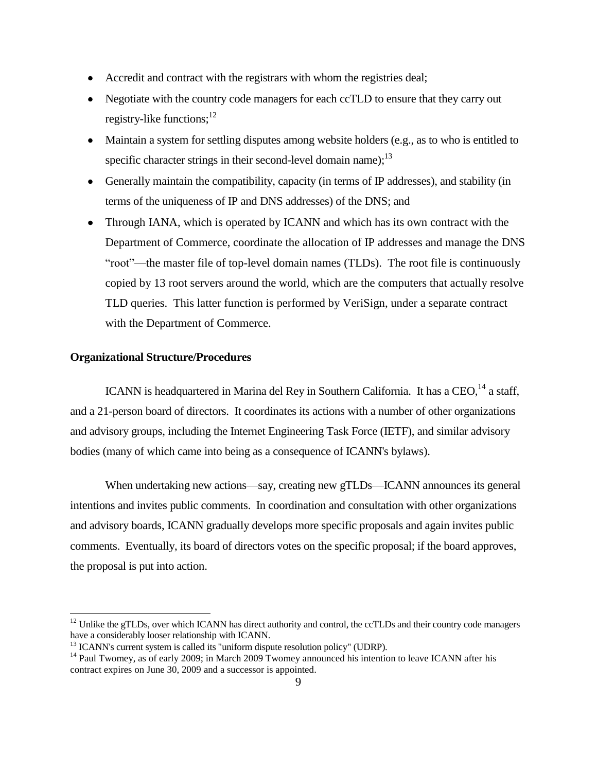- Accredit and contract with the registrars with whom the registries deal;
- Negotiate with the country code managers for each ccTLD to ensure that they carry out registry-like functions; $^{12}$
- Maintain a system for settling disputes among website holders (e.g., as to who is entitled to specific character strings in their second-level domain name); $^{13}$
- Generally maintain the compatibility, capacity (in terms of IP addresses), and stability (in terms of the uniqueness of IP and DNS addresses) of the DNS; and
- Through IANA, which is operated by ICANN and which has its own contract with the Department of Commerce, coordinate the allocation of IP addresses and manage the DNS ―root‖—the master file of top-level domain names (TLDs). The root file is continuously copied by 13 root servers around the world, which are the computers that actually resolve TLD queries. This latter function is performed by VeriSign, under a separate contract with the Department of Commerce.

## **Organizational Structure/Procedures**

l

ICANN is headquartered in Marina del Rey in Southern California. It has a  $CEO<sub>14</sub>$  a staff, and a 21-person board of directors. It coordinates its actions with a number of other organizations and advisory groups, including the Internet Engineering Task Force (IETF), and similar advisory bodies (many of which came into being as a consequence of ICANN's bylaws).

When undertaking new actions—say, creating new gTLDs—ICANN announces its general intentions and invites public comments. In coordination and consultation with other organizations and advisory boards, ICANN gradually develops more specific proposals and again invites public comments. Eventually, its board of directors votes on the specific proposal; if the board approves, the proposal is put into action.

 $12$  Unlike the gTLDs, over which ICANN has direct authority and control, the ccTLDs and their country code managers have a considerably looser relationship with ICANN.

 $13$  ICANN's current system is called its "uniform dispute resolution policy" (UDRP).

<sup>&</sup>lt;sup>14</sup> Paul Twomey, as of early 2009; in March 2009 Twomey announced his intention to leave ICANN after his contract expires on June 30, 2009 and a successor is appointed.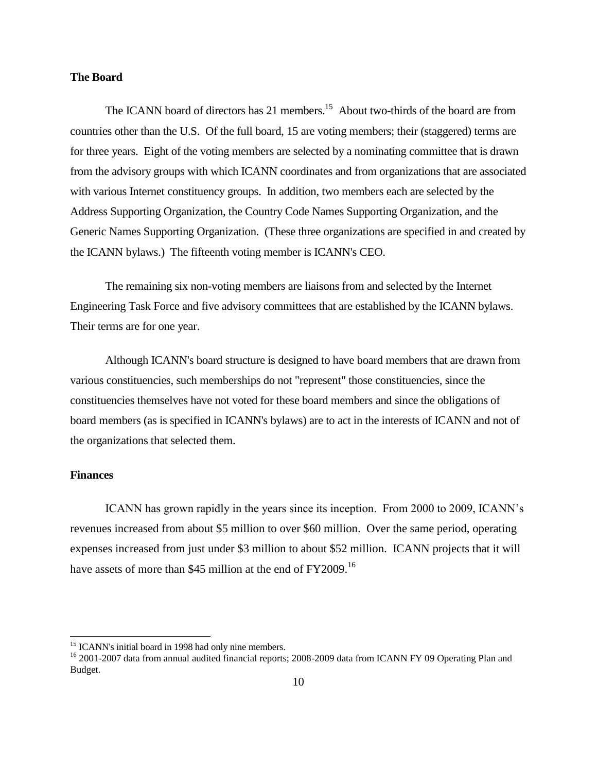# **The Board**

The ICANN board of directors has 21 members.<sup>15</sup> About two-thirds of the board are from countries other than the U.S. Of the full board, 15 are voting members; their (staggered) terms are for three years. Eight of the voting members are selected by a nominating committee that is drawn from the advisory groups with which ICANN coordinates and from organizations that are associated with various Internet constituency groups. In addition, two members each are selected by the Address Supporting Organization, the Country Code Names Supporting Organization, and the Generic Names Supporting Organization. (These three organizations are specified in and created by the ICANN bylaws.) The fifteenth voting member is ICANN's CEO.

The remaining six non-voting members are liaisons from and selected by the Internet Engineering Task Force and five advisory committees that are established by the ICANN bylaws. Their terms are for one year.

Although ICANN's board structure is designed to have board members that are drawn from various constituencies, such memberships do not "represent" those constituencies, since the constituencies themselves have not voted for these board members and since the obligations of board members (as is specified in ICANN's bylaws) are to act in the interests of ICANN and not of the organizations that selected them.

# **Finances**

 $\overline{a}$ 

ICANN has grown rapidly in the years since its inception. From 2000 to 2009, ICANN's revenues increased from about \$5 million to over \$60 million. Over the same period, operating expenses increased from just under \$3 million to about \$52 million. ICANN projects that it will have assets of more than \$45 million at the end of FY2009.<sup>16</sup>

<sup>&</sup>lt;sup>15</sup> ICANN's initial board in 1998 had only nine members.

<sup>&</sup>lt;sup>16</sup> 2001-2007 data from annual audited financial reports; 2008-2009 data from ICANN FY 09 Operating Plan and Budget.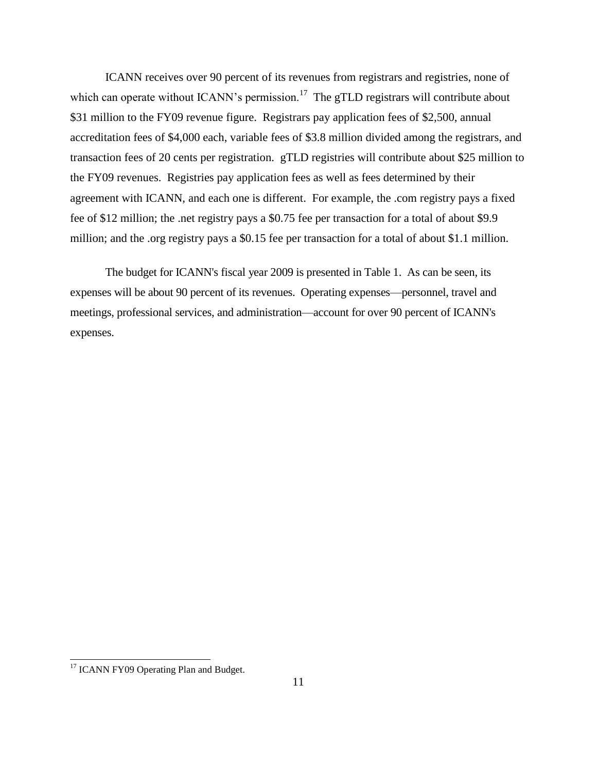ICANN receives over 90 percent of its revenues from registrars and registries, none of which can operate without ICANN's permission.<sup>17</sup> The gTLD registrars will contribute about \$31 million to the FY09 revenue figure. Registrars pay application fees of \$2,500, annual accreditation fees of \$4,000 each, variable fees of \$3.8 million divided among the registrars, and transaction fees of 20 cents per registration. gTLD registries will contribute about \$25 million to the FY09 revenues. Registries pay application fees as well as fees determined by their agreement with ICANN, and each one is different. For example, the .com registry pays a fixed fee of \$12 million; the .net registry pays a \$0.75 fee per transaction for a total of about \$9.9 million; and the .org registry pays a \$0.15 fee per transaction for a total of about \$1.1 million.

The budget for ICANN's fiscal year 2009 is presented in Table 1. As can be seen, its expenses will be about 90 percent of its revenues. Operating expenses—personnel, travel and meetings, professional services, and administration—account for over 90 percent of ICANN's expenses.

 $\overline{a}$ 

<sup>&</sup>lt;sup>17</sup> ICANN FY09 Operating Plan and Budget.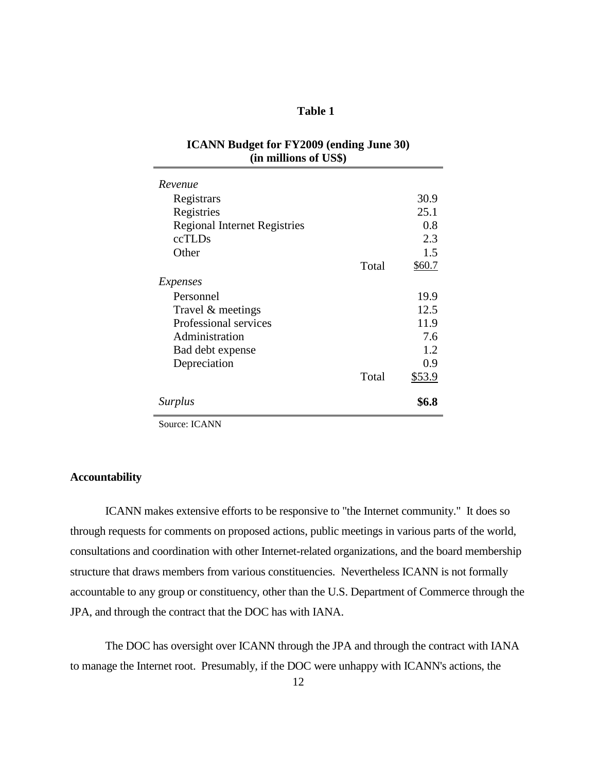# **Table 1**

| <b>ICANN Budget for FY2009 (ending June 30)</b> |  |
|-------------------------------------------------|--|
| (in millions of US\$)                           |  |

| Revenue                             |       |        |
|-------------------------------------|-------|--------|
| Registrars                          |       | 30.9   |
| Registries                          |       | 25.1   |
| <b>Regional Internet Registries</b> |       | 0.8    |
| ccTLDs                              |       | 2.3    |
| Other                               |       | 1.5    |
|                                     | Total | \$60.7 |
| Expenses                            |       |        |
| Personnel                           |       | 19.9   |
| Travel & meetings                   |       | 12.5   |
| Professional services               |       | 11.9   |
| Administration                      |       | 7.6    |
| Bad debt expense                    |       | 1.2    |
| Depreciation                        |       | 0.9    |
|                                     | Total | \$53.9 |
| <i>Surplus</i>                      |       |        |

Source: ICANN

# **Accountability**

ICANN makes extensive efforts to be responsive to "the Internet community." It does so through requests for comments on proposed actions, public meetings in various parts of the world, consultations and coordination with other Internet-related organizations, and the board membership structure that draws members from various constituencies. Nevertheless ICANN is not formally accountable to any group or constituency, other than the U.S. Department of Commerce through the JPA, and through the contract that the DOC has with IANA.

The DOC has oversight over ICANN through the JPA and through the contract with IANA to manage the Internet root. Presumably, if the DOC were unhappy with ICANN's actions, the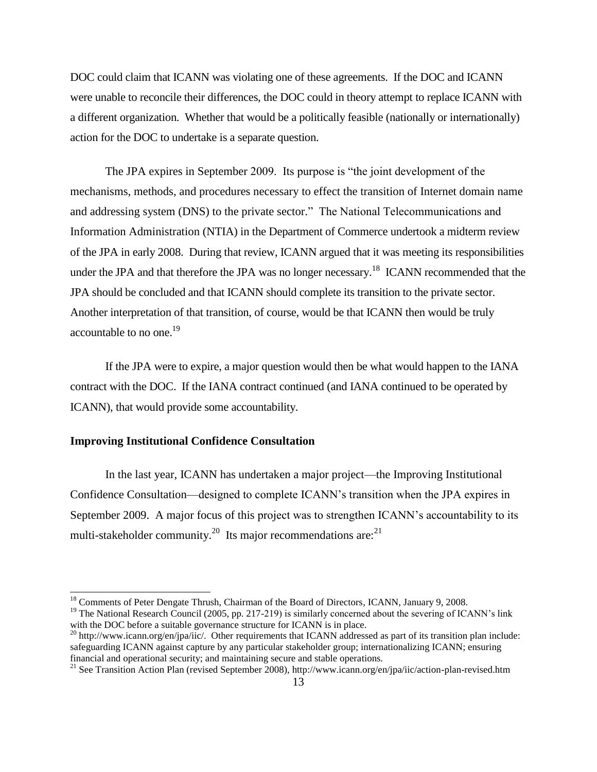DOC could claim that ICANN was violating one of these agreements. If the DOC and ICANN were unable to reconcile their differences, the DOC could in theory attempt to replace ICANN with a different organization. Whether that would be a politically feasible (nationally or internationally) action for the DOC to undertake is a separate question.

The JPA expires in September 2009. Its purpose is "the joint development of the mechanisms, methods, and procedures necessary to effect the transition of Internet domain name and addressing system (DNS) to the private sector." The National Telecommunications and Information Administration (NTIA) in the Department of Commerce undertook a midterm review of the JPA in early 2008. During that review, ICANN argued that it was meeting its responsibilities under the JPA and that therefore the JPA was no longer necessary.<sup>18</sup> ICANN recommended that the JPA should be concluded and that ICANN should complete its transition to the private sector. Another interpretation of that transition, of course, would be that ICANN then would be truly accountable to no one.<sup>19</sup>

If the JPA were to expire, a major question would then be what would happen to the IANA contract with the DOC. If the IANA contract continued (and IANA continued to be operated by ICANN), that would provide some accountability.

## **Improving Institutional Confidence Consultation**

 $\overline{a}$ 

In the last year, ICANN has undertaken a major project—the Improving Institutional Confidence Consultation—designed to complete ICANN's transition when the JPA expires in September 2009. A major focus of this project was to strengthen ICANN's accountability to its multi-stakeholder community.<sup>20</sup> Its major recommendations are:<sup>21</sup>

<sup>&</sup>lt;sup>18</sup> Comments of Peter Dengate Thrush, Chairman of the Board of Directors, ICANN, January 9, 2008.

<sup>&</sup>lt;sup>19</sup> The National Research Council (2005, pp. 217-219) is similarly concerned about the severing of ICANN's link with the DOC before a suitable governance structure for ICANN is in place.

<sup>&</sup>lt;sup>20</sup> http://www.icann.org/en/jpa/iic/. Other requirements that ICANN addressed as part of its transition plan include: safeguarding ICANN against capture by any particular stakeholder group; internationalizing ICANN; ensuring financial and operational security; and maintaining secure and stable operations.

<sup>&</sup>lt;sup>21</sup> See Transition Action Plan (revised September 2008), http://www.icann.org/en/jpa/iic/action-plan-revised.htm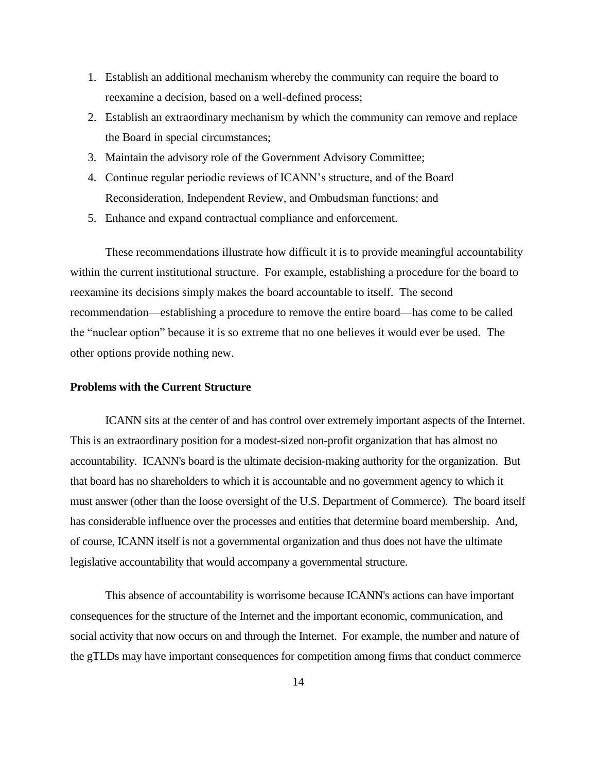- 1. Establish an additional mechanism whereby the community can require the board to reexamine a decision, based on a well-defined process;
- 2. Establish an extraordinary mechanism by which the community can remove and replace the Board in special circumstances;
- 3. Maintain the advisory role of the Government Advisory Committee;
- 4. Continue regular periodic reviews of ICANN's structure, and of the Board Reconsideration, Independent Review, and Ombudsman functions; and
- 5. Enhance and expand contractual compliance and enforcement.

These recommendations illustrate how difficult it is to provide meaningful accountability within the current institutional structure. For example, establishing a procedure for the board to reexamine its decisions simply makes the board accountable to itself. The second recommendation—establishing a procedure to remove the entire board—has come to be called the "nuclear option" because it is so extreme that no one believes it would ever be used. The other options provide nothing new.

## **Problems with the Current Structure**

ICANN sits at the center of and has control over extremely important aspects of the Internet. This is an extraordinary position for a modest-sized non-profit organization that has almost no accountability. ICANN's board is the ultimate decision-making authority for the organization. But that board has no shareholders to which it is accountable and no government agency to which it must answer (other than the loose oversight of the U.S. Department of Commerce). The board itself has considerable influence over the processes and entities that determine board membership. And, of course, ICANN itself is not a governmental organization and thus does not have the ultimate legislative accountability that would accompany a governmental structure.

This absence of accountability is worrisome because ICANN's actions can have important consequences for the structure of the Internet and the important economic, communication, and social activity that now occurs on and through the Internet. For example, the number and nature of the gTLDs may have important consequences for competition among firms that conduct commerce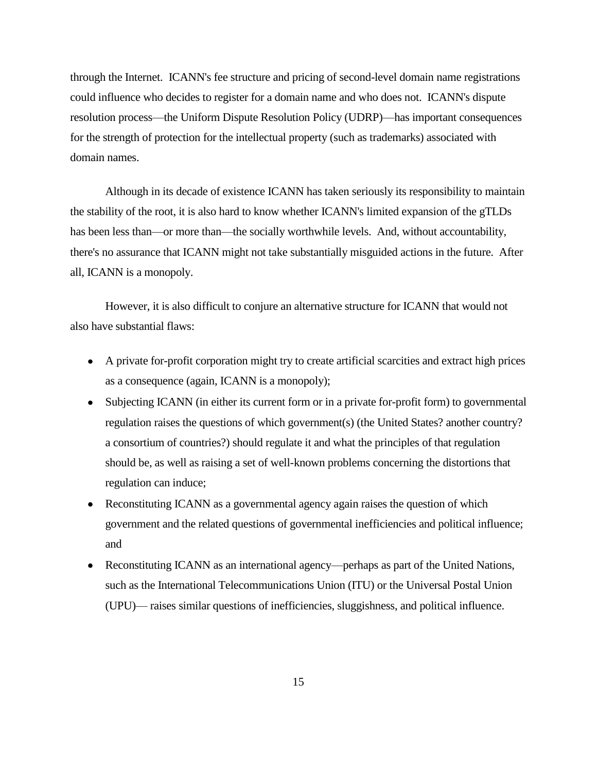through the Internet. ICANN's fee structure and pricing of second-level domain name registrations could influence who decides to register for a domain name and who does not. ICANN's dispute resolution process—the Uniform Dispute Resolution Policy (UDRP)—has important consequences for the strength of protection for the intellectual property (such as trademarks) associated with domain names.

Although in its decade of existence ICANN has taken seriously its responsibility to maintain the stability of the root, it is also hard to know whether ICANN's limited expansion of the gTLDs has been less than—or more than—the socially worthwhile levels. And, without accountability, there's no assurance that ICANN might not take substantially misguided actions in the future. After all, ICANN is a monopoly.

However, it is also difficult to conjure an alternative structure for ICANN that would not also have substantial flaws:

- A private for-profit corporation might try to create artificial scarcities and extract high prices as a consequence (again, ICANN is a monopoly);
- Subjecting ICANN (in either its current form or in a private for-profit form) to governmental regulation raises the questions of which government(s) (the United States? another country? a consortium of countries?) should regulate it and what the principles of that regulation should be, as well as raising a set of well-known problems concerning the distortions that regulation can induce;
- Reconstituting ICANN as a governmental agency again raises the question of which government and the related questions of governmental inefficiencies and political influence; and
- Reconstituting ICANN as an international agency—perhaps as part of the United Nations, such as the International Telecommunications Union (ITU) or the Universal Postal Union (UPU)— raises similar questions of inefficiencies, sluggishness, and political influence.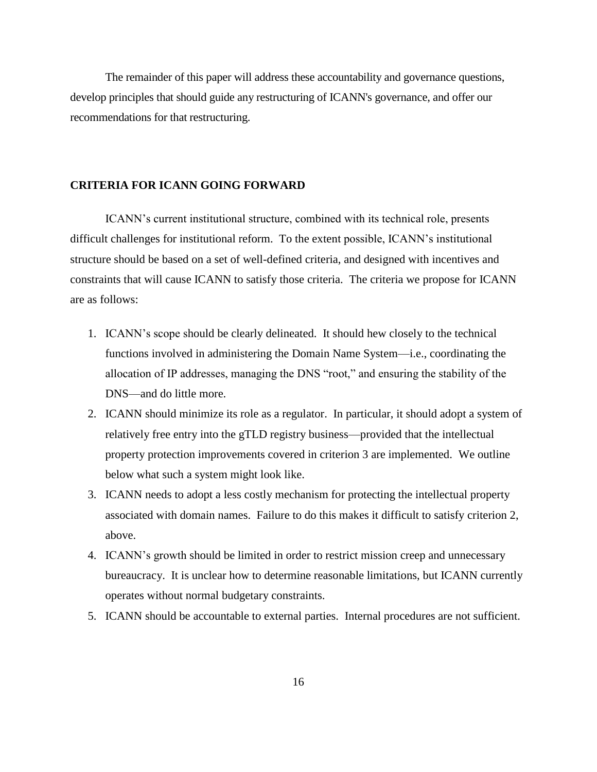The remainder of this paper will address these accountability and governance questions, develop principles that should guide any restructuring of ICANN's governance, and offer our recommendations for that restructuring.

## **CRITERIA FOR ICANN GOING FORWARD**

ICANN's current institutional structure, combined with its technical role, presents difficult challenges for institutional reform. To the extent possible, ICANN's institutional structure should be based on a set of well-defined criteria, and designed with incentives and constraints that will cause ICANN to satisfy those criteria. The criteria we propose for ICANN are as follows:

- 1. ICANN's scope should be clearly delineated. It should hew closely to the technical functions involved in administering the Domain Name System—i.e., coordinating the allocation of IP addresses, managing the DNS "root," and ensuring the stability of the DNS—and do little more.
- 2. ICANN should minimize its role as a regulator. In particular, it should adopt a system of relatively free entry into the gTLD registry business—provided that the intellectual property protection improvements covered in criterion 3 are implemented. We outline below what such a system might look like.
- 3. ICANN needs to adopt a less costly mechanism for protecting the intellectual property associated with domain names. Failure to do this makes it difficult to satisfy criterion 2, above.
- 4. ICANN's growth should be limited in order to restrict mission creep and unnecessary bureaucracy. It is unclear how to determine reasonable limitations, but ICANN currently operates without normal budgetary constraints.
- 5. ICANN should be accountable to external parties. Internal procedures are not sufficient.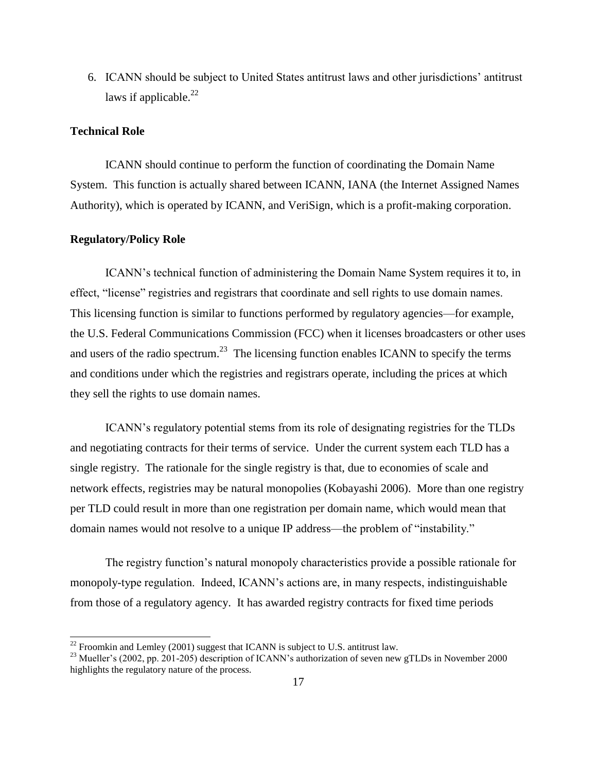6. ICANN should be subject to United States antitrust laws and other jurisdictions' antitrust laws if applicable. $^{22}$ 

# **Technical Role**

ICANN should continue to perform the function of coordinating the Domain Name System. This function is actually shared between ICANN, IANA (the Internet Assigned Names Authority), which is operated by ICANN, and VeriSign, which is a profit-making corporation.

## **Regulatory/Policy Role**

 $\overline{a}$ 

ICANN's technical function of administering the Domain Name System requires it to, in effect, "license" registries and registrars that coordinate and sell rights to use domain names. This licensing function is similar to functions performed by regulatory agencies—for example, the U.S. Federal Communications Commission (FCC) when it licenses broadcasters or other uses and users of the radio spectrum.<sup>23</sup> The licensing function enables ICANN to specify the terms and conditions under which the registries and registrars operate, including the prices at which they sell the rights to use domain names.

ICANN's regulatory potential stems from its role of designating registries for the TLDs and negotiating contracts for their terms of service. Under the current system each TLD has a single registry. The rationale for the single registry is that, due to economies of scale and network effects, registries may be natural monopolies (Kobayashi 2006). More than one registry per TLD could result in more than one registration per domain name, which would mean that domain names would not resolve to a unique IP address—the problem of "instability."

The registry function's natural monopoly characteristics provide a possible rationale for monopoly-type regulation. Indeed, ICANN's actions are, in many respects, indistinguishable from those of a regulatory agency. It has awarded registry contracts for fixed time periods

 $^{22}$  Froomkin and Lemley (2001) suggest that ICANN is subject to U.S. antitrust law.

<sup>&</sup>lt;sup>23</sup> Mueller's (2002, pp. 201-205) description of ICANN's authorization of seven new gTLDs in November 2000 highlights the regulatory nature of the process.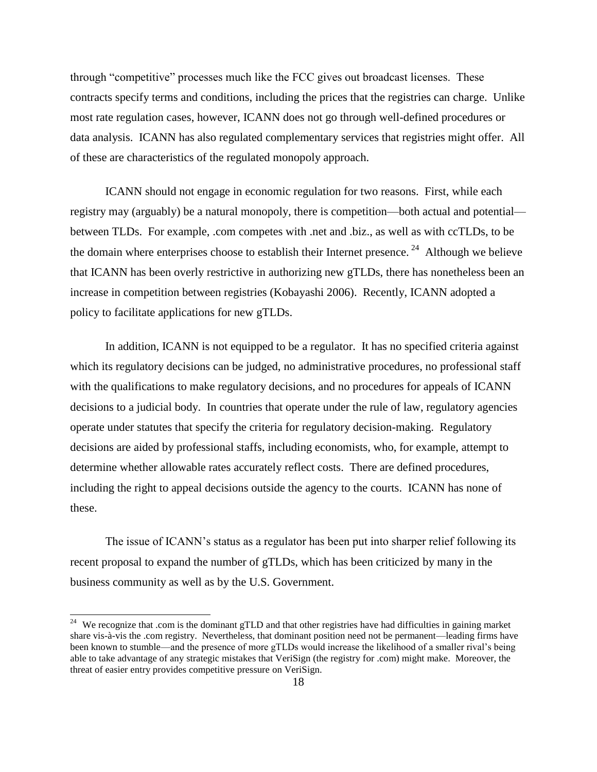through "competitive" processes much like the FCC gives out broadcast licenses. These contracts specify terms and conditions, including the prices that the registries can charge. Unlike most rate regulation cases, however, ICANN does not go through well-defined procedures or data analysis. ICANN has also regulated complementary services that registries might offer. All of these are characteristics of the regulated monopoly approach.

ICANN should not engage in economic regulation for two reasons. First, while each registry may (arguably) be a natural monopoly, there is competition—both actual and potential between TLDs. For example, .com competes with .net and .biz., as well as with ccTLDs, to be the domain where enterprises choose to establish their Internet presence.<sup>24</sup> Although we believe that ICANN has been overly restrictive in authorizing new gTLDs, there has nonetheless been an increase in competition between registries (Kobayashi 2006). Recently, ICANN adopted a policy to facilitate applications for new gTLDs.

In addition, ICANN is not equipped to be a regulator. It has no specified criteria against which its regulatory decisions can be judged, no administrative procedures, no professional staff with the qualifications to make regulatory decisions, and no procedures for appeals of ICANN decisions to a judicial body. In countries that operate under the rule of law, regulatory agencies operate under statutes that specify the criteria for regulatory decision-making. Regulatory decisions are aided by professional staffs, including economists, who, for example, attempt to determine whether allowable rates accurately reflect costs. There are defined procedures, including the right to appeal decisions outside the agency to the courts. ICANN has none of these.

The issue of ICANN's status as a regulator has been put into sharper relief following its recent proposal to expand the number of gTLDs, which has been criticized by many in the business community as well as by the U.S. Government.

 $\overline{a}$ 

<sup>&</sup>lt;sup>24</sup> We recognize that .com is the dominant gTLD and that other registries have had difficulties in gaining market share vis-à-vis the .com registry. Nevertheless, that dominant position need not be permanent—leading firms have been known to stumble—and the presence of more gTLDs would increase the likelihood of a smaller rival's being able to take advantage of any strategic mistakes that VeriSign (the registry for .com) might make. Moreover, the threat of easier entry provides competitive pressure on VeriSign.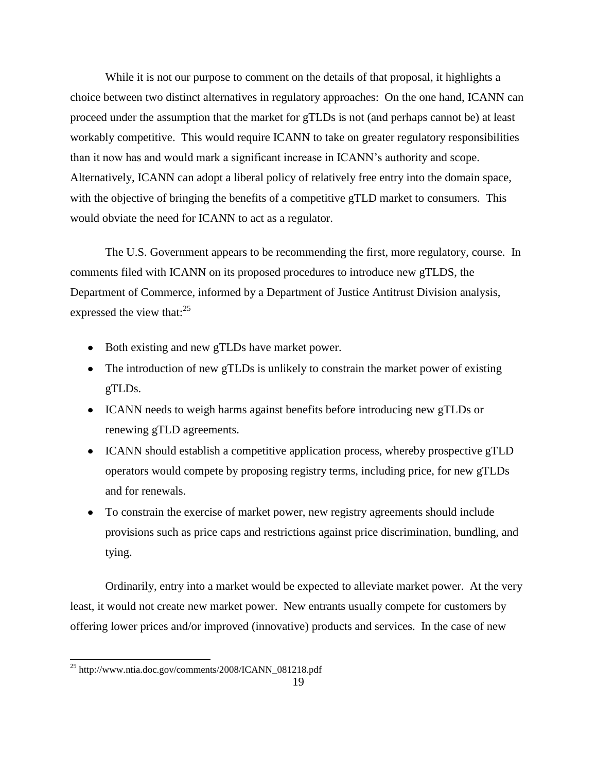While it is not our purpose to comment on the details of that proposal, it highlights a choice between two distinct alternatives in regulatory approaches: On the one hand, ICANN can proceed under the assumption that the market for gTLDs is not (and perhaps cannot be) at least workably competitive. This would require ICANN to take on greater regulatory responsibilities than it now has and would mark a significant increase in ICANN's authority and scope. Alternatively, ICANN can adopt a liberal policy of relatively free entry into the domain space, with the objective of bringing the benefits of a competitive gTLD market to consumers. This would obviate the need for ICANN to act as a regulator.

The U.S. Government appears to be recommending the first, more regulatory, course. In comments filed with ICANN on its proposed procedures to introduce new gTLDS, the Department of Commerce, informed by a Department of Justice Antitrust Division analysis, expressed the view that: $25$ 

- Both existing and new gTLDs have market power.
- The introduction of new gTLDs is unlikely to constrain the market power of existing gTLDs.
- ICANN needs to weigh harms against benefits before introducing new gTLDs or renewing gTLD agreements.
- ICANN should establish a competitive application process, whereby prospective gTLD operators would compete by proposing registry terms, including price, for new gTLDs and for renewals.
- To constrain the exercise of market power, new registry agreements should include provisions such as price caps and restrictions against price discrimination, bundling, and tying.

Ordinarily, entry into a market would be expected to alleviate market power. At the very least, it would not create new market power. New entrants usually compete for customers by offering lower prices and/or improved (innovative) products and services. In the case of new

 $\overline{a}$ 

 $^{25}$  http://www.ntia.doc.gov/comments/2008/ICANN\_081218.pdf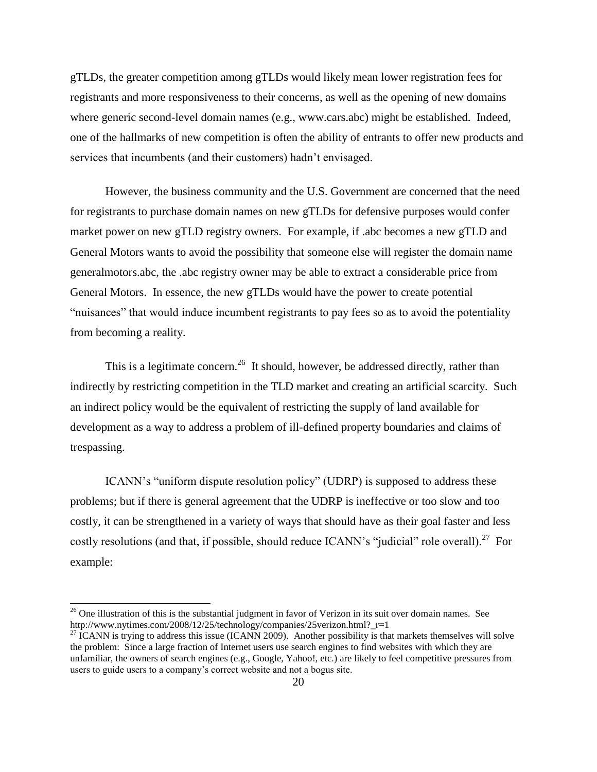gTLDs, the greater competition among gTLDs would likely mean lower registration fees for registrants and more responsiveness to their concerns, as well as the opening of new domains where generic second-level domain names (e.g., www.cars.abc) might be established. Indeed, one of the hallmarks of new competition is often the ability of entrants to offer new products and services that incumbents (and their customers) hadn't envisaged.

However, the business community and the U.S. Government are concerned that the need for registrants to purchase domain names on new gTLDs for defensive purposes would confer market power on new gTLD registry owners. For example, if .abc becomes a new gTLD and General Motors wants to avoid the possibility that someone else will register the domain name generalmotors.abc, the .abc registry owner may be able to extract a considerable price from General Motors. In essence, the new gTLDs would have the power to create potential "nuisances" that would induce incumbent registrants to pay fees so as to avoid the potentiality from becoming a reality.

This is a legitimate concern.<sup>26</sup> It should, however, be addressed directly, rather than indirectly by restricting competition in the TLD market and creating an artificial scarcity. Such an indirect policy would be the equivalent of restricting the supply of land available for development as a way to address a problem of ill-defined property boundaries and claims of trespassing.

ICANN's "uniform dispute resolution policy" (UDRP) is supposed to address these problems; but if there is general agreement that the UDRP is ineffective or too slow and too costly, it can be strengthened in a variety of ways that should have as their goal faster and less costly resolutions (and that, if possible, should reduce ICANN's "judicial" role overall).<sup>27</sup> For example:

l

<sup>&</sup>lt;sup>26</sup> One illustration of this is the substantial judgment in favor of Verizon in its suit over domain names. See http://www.nytimes.com/2008/12/25/technology/companies/25verizon.html?\_r=1

 $27$  ICANN is trying to address this issue (ICANN 2009). Another possibility is that markets themselves will solve the problem: Since a large fraction of Internet users use search engines to find websites with which they are unfamiliar, the owners of search engines (e.g., Google, Yahoo!, etc.) are likely to feel competitive pressures from users to guide users to a company's correct website and not a bogus site.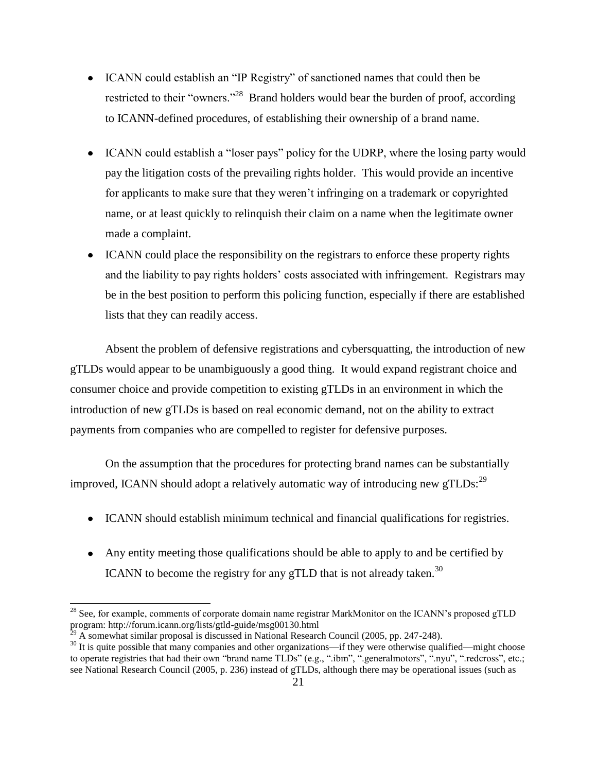- ICANN could establish an "IP Registry" of sanctioned names that could then be restricted to their "owners."<sup>28</sup> Brand holders would bear the burden of proof, according to ICANN-defined procedures, of establishing their ownership of a brand name.
- ICANN could establish a "loser pays" policy for the UDRP, where the losing party would pay the litigation costs of the prevailing rights holder. This would provide an incentive for applicants to make sure that they weren't infringing on a trademark or copyrighted name, or at least quickly to relinquish their claim on a name when the legitimate owner made a complaint.
- ICANN could place the responsibility on the registrars to enforce these property rights and the liability to pay rights holders' costs associated with infringement. Registrars may be in the best position to perform this policing function, especially if there are established lists that they can readily access.

Absent the problem of defensive registrations and cybersquatting, the introduction of new gTLDs would appear to be unambiguously a good thing. It would expand registrant choice and consumer choice and provide competition to existing gTLDs in an environment in which the introduction of new gTLDs is based on real economic demand, not on the ability to extract payments from companies who are compelled to register for defensive purposes.

On the assumption that the procedures for protecting brand names can be substantially improved, ICANN should adopt a relatively automatic way of introducing new gTLDs:  $^{29}$ 

- ICANN should establish minimum technical and financial qualifications for registries.
- Any entity meeting those qualifications should be able to apply to and be certified by ICANN to become the registry for any gTLD that is not already taken.<sup>30</sup>

l

<sup>&</sup>lt;sup>28</sup> See, for example, comments of corporate domain name registrar MarkMonitor on the ICANN's proposed gTLD program: http://forum.icann.org/lists/gtld-guide/msg00130.html

A somewhat similar proposal is discussed in National Research Council (2005, pp. 247-248).

<sup>&</sup>lt;sup>30</sup> It is quite possible that many companies and other organizations—if they were otherwise qualified—might choose to operate registries that had their own "brand name TLDs" (e.g., ".ibm", ".generalmotors", ".nyu", ".redcross", etc.; see National Research Council (2005, p. 236) instead of gTLDs, although there may be operational issues (such as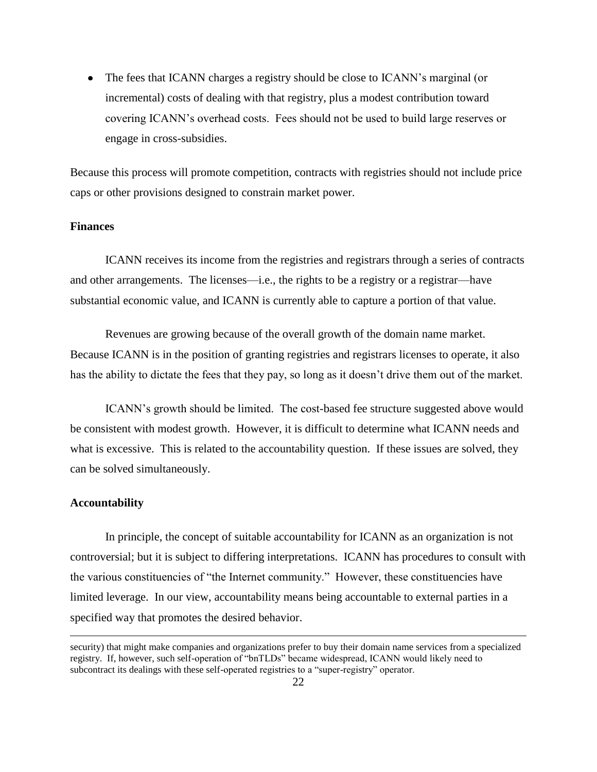• The fees that ICANN charges a registry should be close to ICANN's marginal (or incremental) costs of dealing with that registry, plus a modest contribution toward covering ICANN's overhead costs. Fees should not be used to build large reserves or engage in cross-subsidies.

Because this process will promote competition, contracts with registries should not include price caps or other provisions designed to constrain market power.

# **Finances**

ICANN receives its income from the registries and registrars through a series of contracts and other arrangements. The licenses—i.e., the rights to be a registry or a registrar—have substantial economic value, and ICANN is currently able to capture a portion of that value.

Revenues are growing because of the overall growth of the domain name market. Because ICANN is in the position of granting registries and registrars licenses to operate, it also has the ability to dictate the fees that they pay, so long as it doesn't drive them out of the market.

ICANN's growth should be limited. The cost-based fee structure suggested above would be consistent with modest growth. However, it is difficult to determine what ICANN needs and what is excessive. This is related to the accountability question. If these issues are solved, they can be solved simultaneously.

## **Accountability**

 $\overline{a}$ 

In principle, the concept of suitable accountability for ICANN as an organization is not controversial; but it is subject to differing interpretations. ICANN has procedures to consult with the various constituencies of "the Internet community." However, these constituencies have limited leverage. In our view, accountability means being accountable to external parties in a specified way that promotes the desired behavior.

security) that might make companies and organizations prefer to buy their domain name services from a specialized registry. If, however, such self-operation of "bnTLDs" became widespread, ICANN would likely need to subcontract its dealings with these self-operated registries to a "super-registry" operator.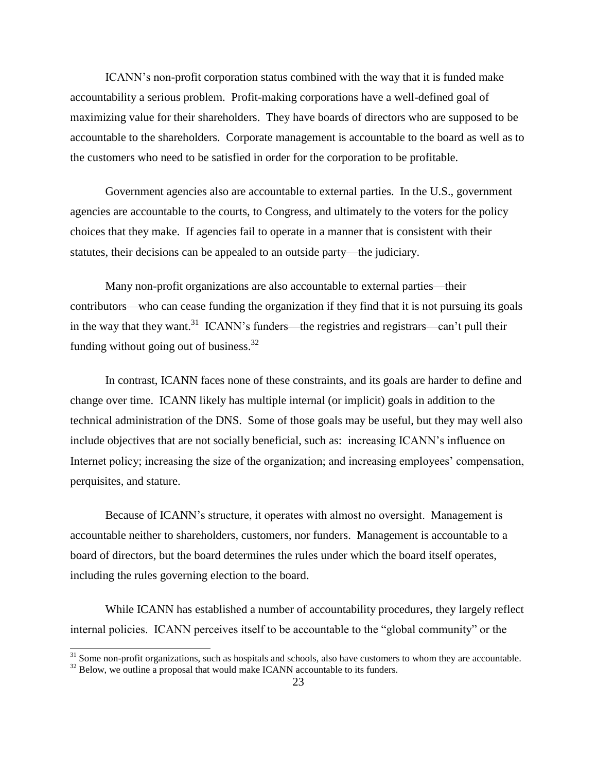ICANN's non-profit corporation status combined with the way that it is funded make accountability a serious problem. Profit-making corporations have a well-defined goal of maximizing value for their shareholders. They have boards of directors who are supposed to be accountable to the shareholders. Corporate management is accountable to the board as well as to the customers who need to be satisfied in order for the corporation to be profitable.

Government agencies also are accountable to external parties. In the U.S., government agencies are accountable to the courts, to Congress, and ultimately to the voters for the policy choices that they make. If agencies fail to operate in a manner that is consistent with their statutes, their decisions can be appealed to an outside party—the judiciary.

Many non-profit organizations are also accountable to external parties—their contributors—who can cease funding the organization if they find that it is not pursuing its goals in the way that they want.<sup>31</sup> ICANN's funders—the registries and registrars—can't pull their funding without going out of business.<sup>32</sup>

In contrast, ICANN faces none of these constraints, and its goals are harder to define and change over time. ICANN likely has multiple internal (or implicit) goals in addition to the technical administration of the DNS. Some of those goals may be useful, but they may well also include objectives that are not socially beneficial, such as: increasing ICANN's influence on Internet policy; increasing the size of the organization; and increasing employees' compensation, perquisites, and stature.

Because of ICANN's structure, it operates with almost no oversight. Management is accountable neither to shareholders, customers, nor funders. Management is accountable to a board of directors, but the board determines the rules under which the board itself operates, including the rules governing election to the board.

While ICANN has established a number of accountability procedures, they largely reflect internal policies. ICANN perceives itself to be accountable to the "global community" or the

 $\overline{a}$ 

 $31$  Some non-profit organizations, such as hospitals and schools, also have customers to whom they are accountable.

 $32$  Below, we outline a proposal that would make ICANN accountable to its funders.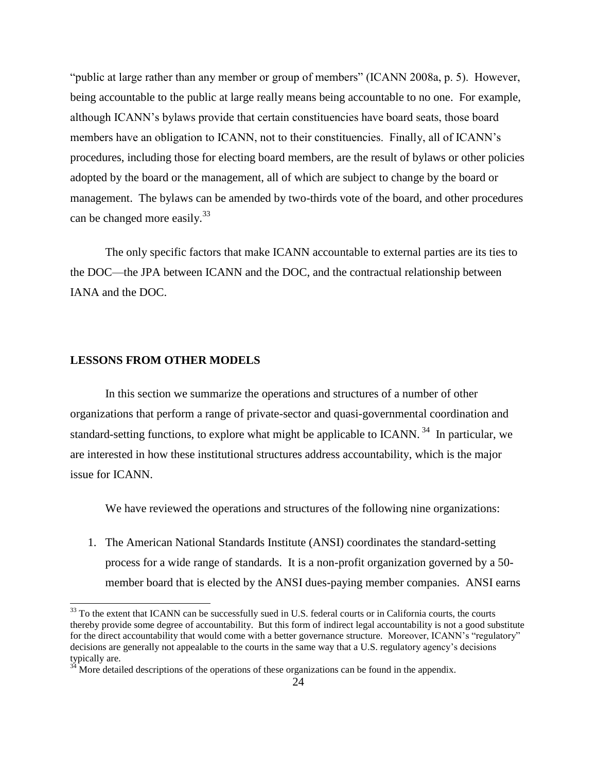"public at large rather than any member or group of members" (ICANN 2008a, p. 5). However, being accountable to the public at large really means being accountable to no one. For example, although ICANN's bylaws provide that certain constituencies have board seats, those board members have an obligation to ICANN, not to their constituencies. Finally, all of ICANN's procedures, including those for electing board members, are the result of bylaws or other policies adopted by the board or the management, all of which are subject to change by the board or management. The bylaws can be amended by two-thirds vote of the board, and other procedures can be changed more easily.<sup>33</sup>

The only specific factors that make ICANN accountable to external parties are its ties to the DOC—the JPA between ICANN and the DOC, and the contractual relationship between IANA and the DOC.

## **LESSONS FROM OTHER MODELS**

l

In this section we summarize the operations and structures of a number of other organizations that perform a range of private-sector and quasi-governmental coordination and standard-setting functions, to explore what might be applicable to ICANN.<sup>34</sup> In particular, we are interested in how these institutional structures address accountability, which is the major issue for ICANN.

We have reviewed the operations and structures of the following nine organizations:

1. The American National Standards Institute (ANSI) coordinates the standard-setting process for a wide range of standards. It is a non-profit organization governed by a 50 member board that is elected by the ANSI dues-paying member companies. ANSI earns

 $33$  To the extent that ICANN can be successfully sued in U.S. federal courts or in California courts, the courts thereby provide some degree of accountability. But this form of indirect legal accountability is not a good substitute for the direct accountability that would come with a better governance structure. Moreover, ICANN's "regulatory" decisions are generally not appealable to the courts in the same way that a U.S. regulatory agency's decisions typically are.

More detailed descriptions of the operations of these organizations can be found in the appendix.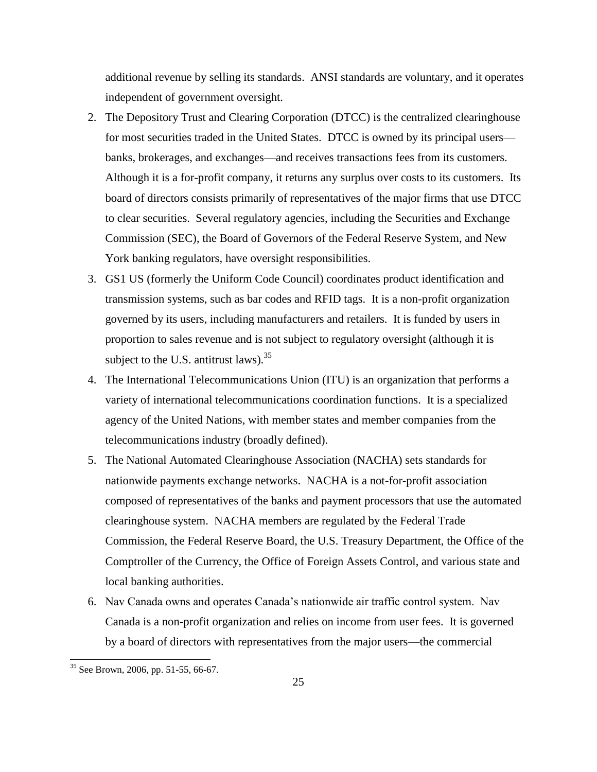additional revenue by selling its standards. ANSI standards are voluntary, and it operates independent of government oversight.

- 2. The Depository Trust and Clearing Corporation (DTCC) is the centralized clearinghouse for most securities traded in the United States. DTCC is owned by its principal users banks, brokerages, and exchanges—and receives transactions fees from its customers. Although it is a for-profit company, it returns any surplus over costs to its customers. Its board of directors consists primarily of representatives of the major firms that use DTCC to clear securities. Several regulatory agencies, including the Securities and Exchange Commission (SEC), the Board of Governors of the Federal Reserve System, and New York banking regulators, have oversight responsibilities.
- 3. GS1 US (formerly the Uniform Code Council) coordinates product identification and transmission systems, such as bar codes and RFID tags. It is a non-profit organization governed by its users, including manufacturers and retailers. It is funded by users in proportion to sales revenue and is not subject to regulatory oversight (although it is subject to the U.S. antitrust laws).  $35$
- 4. The International Telecommunications Union (ITU) is an organization that performs a variety of international telecommunications coordination functions. It is a specialized agency of the United Nations, with member states and member companies from the telecommunications industry (broadly defined).
- 5. The National Automated Clearinghouse Association (NACHA) sets standards for nationwide payments exchange networks. NACHA is a not-for-profit association composed of representatives of the banks and payment processors that use the automated clearinghouse system. NACHA members are regulated by the Federal Trade Commission, the Federal Reserve Board, the U.S. Treasury Department, the Office of the Comptroller of the Currency, the Office of Foreign Assets Control, and various state and local banking authorities.
- 6. Nav Canada owns and operates Canada's nationwide air traffic control system. Nav Canada is a non-profit organization and relies on income from user fees. It is governed by a board of directors with representatives from the major users—the commercial

 $\overline{a}$ 

 $35$  See Brown, 2006, pp. 51-55, 66-67.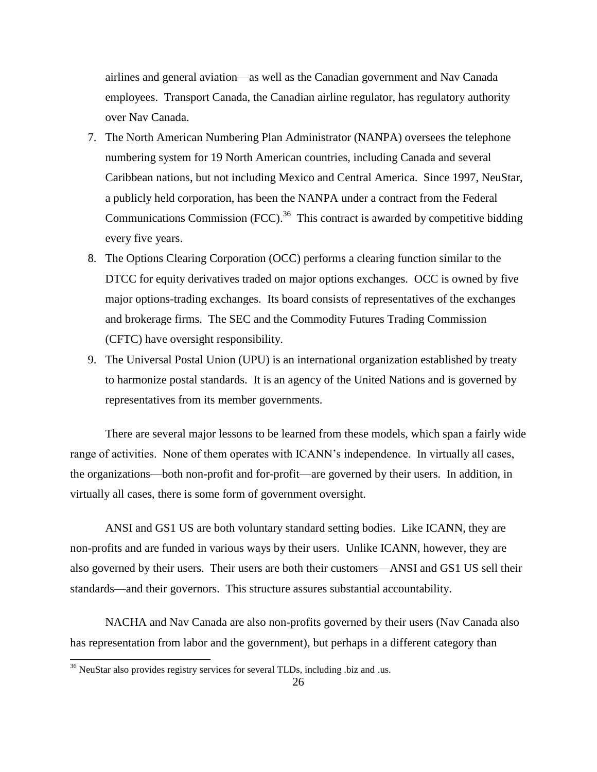airlines and general aviation—as well as the Canadian government and Nav Canada employees. Transport Canada, the Canadian airline regulator, has regulatory authority over Nav Canada.

- 7. The North American Numbering Plan Administrator (NANPA) oversees the telephone numbering system for 19 North American countries, including Canada and several Caribbean nations, but not including Mexico and Central America. Since 1997, NeuStar, a publicly held corporation, has been the NANPA under a contract from the Federal Communications Commission  $(FCC)$ .<sup>36</sup> This contract is awarded by competitive bidding every five years.
- 8. The Options Clearing Corporation (OCC) performs a clearing function similar to the DTCC for equity derivatives traded on major options exchanges. OCC is owned by five major options-trading exchanges. Its board consists of representatives of the exchanges and brokerage firms. The SEC and the Commodity Futures Trading Commission (CFTC) have oversight responsibility.
- 9. The Universal Postal Union (UPU) is an international organization established by treaty to harmonize postal standards. It is an agency of the United Nations and is governed by representatives from its member governments.

There are several major lessons to be learned from these models, which span a fairly wide range of activities. None of them operates with ICANN's independence. In virtually all cases, the organizations—both non-profit and for-profit—are governed by their users. In addition, in virtually all cases, there is some form of government oversight.

ANSI and GS1 US are both voluntary standard setting bodies. Like ICANN, they are non-profits and are funded in various ways by their users. Unlike ICANN, however, they are also governed by their users. Their users are both their customers—ANSI and GS1 US sell their standards—and their governors. This structure assures substantial accountability.

NACHA and Nav Canada are also non-profits governed by their users (Nav Canada also has representation from labor and the government), but perhaps in a different category than

 $\overline{\phantom{a}}$ 

 $36$  NeuStar also provides registry services for several TLDs, including .biz and .us.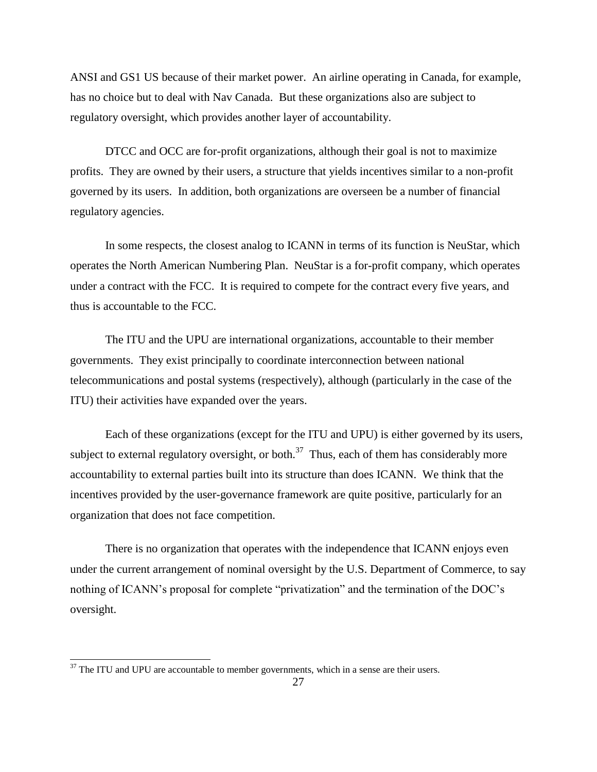ANSI and GS1 US because of their market power. An airline operating in Canada, for example, has no choice but to deal with Nav Canada. But these organizations also are subject to regulatory oversight, which provides another layer of accountability.

DTCC and OCC are for-profit organizations, although their goal is not to maximize profits. They are owned by their users, a structure that yields incentives similar to a non-profit governed by its users. In addition, both organizations are overseen be a number of financial regulatory agencies.

In some respects, the closest analog to ICANN in terms of its function is NeuStar, which operates the North American Numbering Plan. NeuStar is a for-profit company, which operates under a contract with the FCC. It is required to compete for the contract every five years, and thus is accountable to the FCC.

The ITU and the UPU are international organizations, accountable to their member governments. They exist principally to coordinate interconnection between national telecommunications and postal systems (respectively), although (particularly in the case of the ITU) their activities have expanded over the years.

Each of these organizations (except for the ITU and UPU) is either governed by its users, subject to external regulatory oversight, or both.<sup>37</sup> Thus, each of them has considerably more accountability to external parties built into its structure than does ICANN. We think that the incentives provided by the user-governance framework are quite positive, particularly for an organization that does not face competition.

There is no organization that operates with the independence that ICANN enjoys even under the current arrangement of nominal oversight by the U.S. Department of Commerce, to say nothing of ICANN's proposal for complete "privatization" and the termination of the DOC's oversight.

 $\overline{\phantom{a}}$ 

 $37$  The ITU and UPU are accountable to member governments, which in a sense are their users.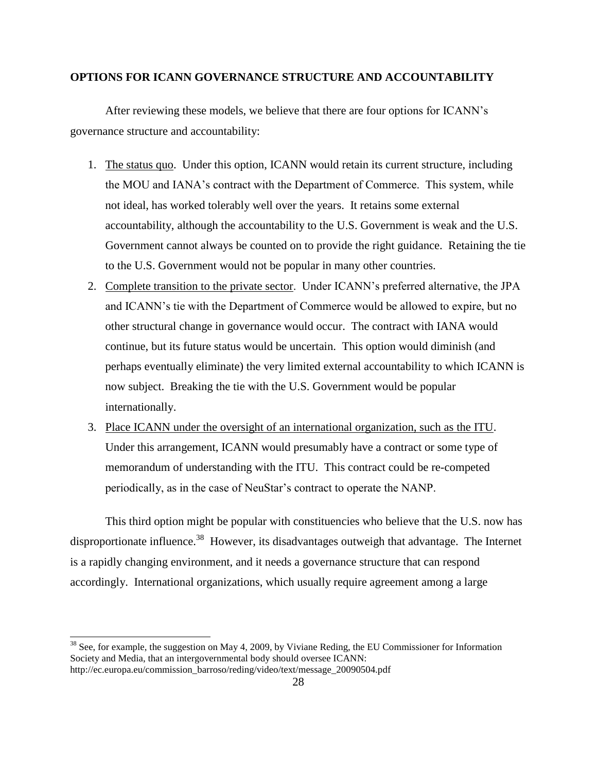# **OPTIONS FOR ICANN GOVERNANCE STRUCTURE AND ACCOUNTABILITY**

After reviewing these models, we believe that there are four options for ICANN's governance structure and accountability:

- 1. The status quo. Under this option, ICANN would retain its current structure, including the MOU and IANA's contract with the Department of Commerce. This system, while not ideal, has worked tolerably well over the years. It retains some external accountability, although the accountability to the U.S. Government is weak and the U.S. Government cannot always be counted on to provide the right guidance. Retaining the tie to the U.S. Government would not be popular in many other countries.
- 2. Complete transition to the private sector. Under ICANN's preferred alternative, the JPA and ICANN's tie with the Department of Commerce would be allowed to expire, but no other structural change in governance would occur. The contract with IANA would continue, but its future status would be uncertain. This option would diminish (and perhaps eventually eliminate) the very limited external accountability to which ICANN is now subject. Breaking the tie with the U.S. Government would be popular internationally.
- 3. Place ICANN under the oversight of an international organization, such as the ITU. Under this arrangement, ICANN would presumably have a contract or some type of memorandum of understanding with the ITU. This contract could be re-competed periodically, as in the case of NeuStar's contract to operate the NANP.

This third option might be popular with constituencies who believe that the U.S. now has disproportionate influence.<sup>38</sup> However, its disadvantages outweigh that advantage. The Internet is a rapidly changing environment, and it needs a governance structure that can respond accordingly. International organizations, which usually require agreement among a large

 $\overline{a}$ 

<sup>&</sup>lt;sup>38</sup> See, for example, the suggestion on May 4, 2009, by Viviane Reding, the EU Commissioner for Information Society and Media, that an intergovernmental body should oversee ICANN: http://ec.europa.eu/commission\_barroso/reding/video/text/message\_20090504.pdf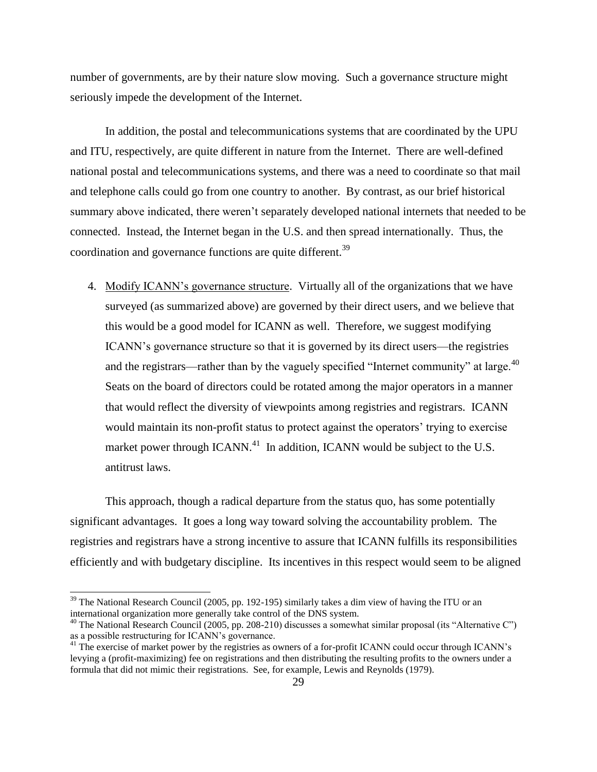number of governments, are by their nature slow moving. Such a governance structure might seriously impede the development of the Internet.

In addition, the postal and telecommunications systems that are coordinated by the UPU and ITU, respectively, are quite different in nature from the Internet. There are well-defined national postal and telecommunications systems, and there was a need to coordinate so that mail and telephone calls could go from one country to another. By contrast, as our brief historical summary above indicated, there weren't separately developed national internets that needed to be connected. Instead, the Internet began in the U.S. and then spread internationally. Thus, the coordination and governance functions are quite different.<sup>39</sup>

4. Modify ICANN's governance structure. Virtually all of the organizations that we have surveyed (as summarized above) are governed by their direct users, and we believe that this would be a good model for ICANN as well. Therefore, we suggest modifying ICANN's governance structure so that it is governed by its direct users—the registries and the registrars—rather than by the vaguely specified "Internet community" at large. $40$ Seats on the board of directors could be rotated among the major operators in a manner that would reflect the diversity of viewpoints among registries and registrars. ICANN would maintain its non-profit status to protect against the operators' trying to exercise market power through ICANN.<sup>41</sup> In addition, ICANN would be subject to the U.S. antitrust laws.

This approach, though a radical departure from the status quo, has some potentially significant advantages. It goes a long way toward solving the accountability problem. The registries and registrars have a strong incentive to assure that ICANN fulfills its responsibilities efficiently and with budgetary discipline. Its incentives in this respect would seem to be aligned

 $\overline{\phantom{a}}$ 

 $39$  The National Research Council (2005, pp. 192-195) similarly takes a dim view of having the ITU or an international organization more generally take control of the DNS system.

 $^{40}$  The National Research Council (2005, pp. 208-210) discusses a somewhat similar proposal (its "Alternative C") as a possible restructuring for ICANN's governance.

<sup>&</sup>lt;sup>41</sup> The exercise of market power by the registries as owners of a for-profit ICANN could occur through ICANN's levying a (profit-maximizing) fee on registrations and then distributing the resulting profits to the owners under a formula that did not mimic their registrations. See, for example, Lewis and Reynolds (1979).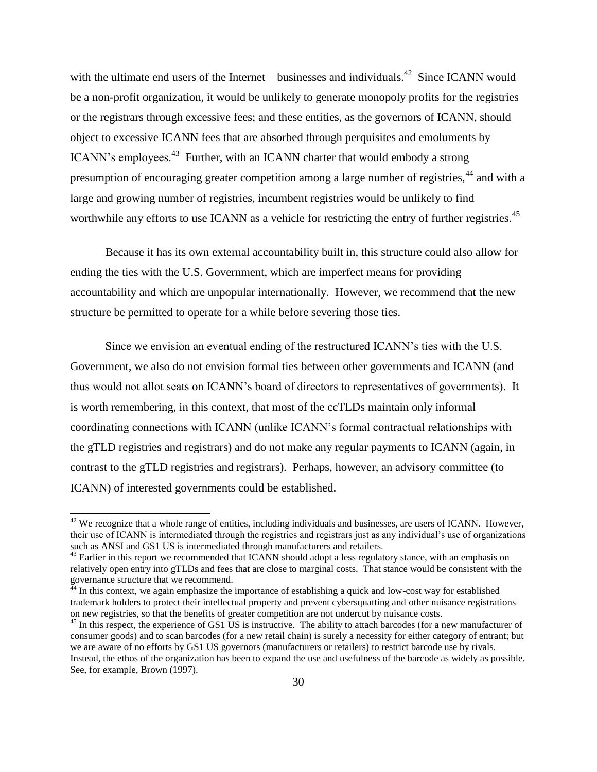with the ultimate end users of the Internet—businesses and individuals.<sup>42</sup> Since ICANN would be a non-profit organization, it would be unlikely to generate monopoly profits for the registries or the registrars through excessive fees; and these entities, as the governors of ICANN, should object to excessive ICANN fees that are absorbed through perquisites and emoluments by ICANN's employees.<sup>43</sup> Further, with an ICANN charter that would embody a strong presumption of encouraging greater competition among a large number of registries,<sup>44</sup> and with a large and growing number of registries, incumbent registries would be unlikely to find worthwhile any efforts to use ICANN as a vehicle for restricting the entry of further registries.<sup>45</sup>

Because it has its own external accountability built in, this structure could also allow for ending the ties with the U.S. Government, which are imperfect means for providing accountability and which are unpopular internationally. However, we recommend that the new structure be permitted to operate for a while before severing those ties.

Since we envision an eventual ending of the restructured ICANN's ties with the U.S. Government, we also do not envision formal ties between other governments and ICANN (and thus would not allot seats on ICANN's board of directors to representatives of governments). It is worth remembering, in this context, that most of the ccTLDs maintain only informal coordinating connections with ICANN (unlike ICANN's formal contractual relationships with the gTLD registries and registrars) and do not make any regular payments to ICANN (again, in contrast to the gTLD registries and registrars). Perhaps, however, an advisory committee (to ICANN) of interested governments could be established.

 $\overline{\phantom{a}}$ 

 $42$  We recognize that a whole range of entities, including individuals and businesses, are users of ICANN. However, their use of ICANN is intermediated through the registries and registrars just as any individual's use of organizations such as ANSI and GS1 US is intermediated through manufacturers and retailers.

 $43$  Earlier in this report we recommended that ICANN should adopt a less regulatory stance, with an emphasis on relatively open entry into gTLDs and fees that are close to marginal costs. That stance would be consistent with the governance structure that we recommend.

 $^{44}$  In this context, we again emphasize the importance of establishing a quick and low-cost way for established trademark holders to protect their intellectual property and prevent cybersquatting and other nuisance registrations on new registries, so that the benefits of greater competition are not undercut by nuisance costs.

 $45$  In this respect, the experience of GS1 US is instructive. The ability to attach barcodes (for a new manufacturer of consumer goods) and to scan barcodes (for a new retail chain) is surely a necessity for either category of entrant; but we are aware of no efforts by GS1 US governors (manufacturers or retailers) to restrict barcode use by rivals. Instead, the ethos of the organization has been to expand the use and usefulness of the barcode as widely as possible. See, for example, Brown (1997).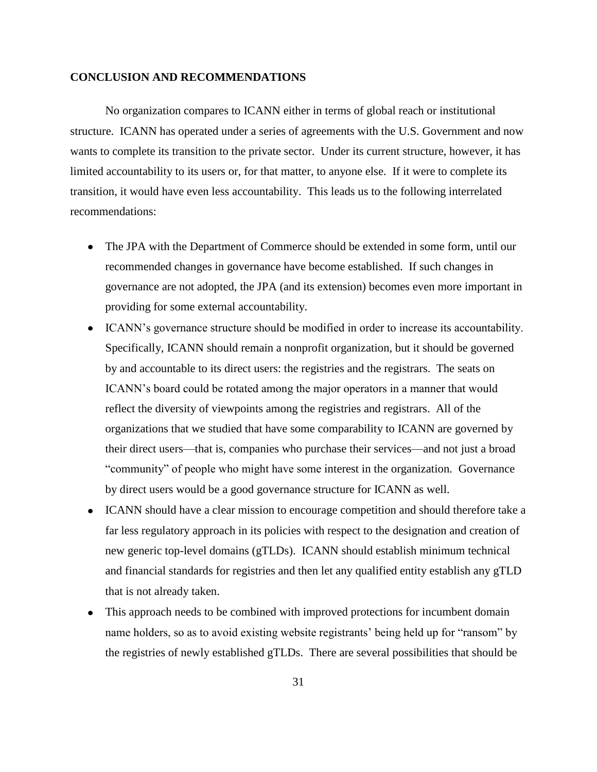# **CONCLUSION AND RECOMMENDATIONS**

No organization compares to ICANN either in terms of global reach or institutional structure. ICANN has operated under a series of agreements with the U.S. Government and now wants to complete its transition to the private sector. Under its current structure, however, it has limited accountability to its users or, for that matter, to anyone else. If it were to complete its transition, it would have even less accountability. This leads us to the following interrelated recommendations:

- The JPA with the Department of Commerce should be extended in some form, until our recommended changes in governance have become established. If such changes in governance are not adopted, the JPA (and its extension) becomes even more important in providing for some external accountability.
- ICANN's governance structure should be modified in order to increase its accountability. Specifically, ICANN should remain a nonprofit organization, but it should be governed by and accountable to its direct users: the registries and the registrars. The seats on ICANN's board could be rotated among the major operators in a manner that would reflect the diversity of viewpoints among the registries and registrars. All of the organizations that we studied that have some comparability to ICANN are governed by their direct users—that is, companies who purchase their services—and not just a broad "community" of people who might have some interest in the organization. Governance by direct users would be a good governance structure for ICANN as well.
- ICANN should have a clear mission to encourage competition and should therefore take a far less regulatory approach in its policies with respect to the designation and creation of new generic top-level domains (gTLDs). ICANN should establish minimum technical and financial standards for registries and then let any qualified entity establish any gTLD that is not already taken.
- This approach needs to be combined with improved protections for incumbent domain  $\bullet$ name holders, so as to avoid existing website registrants' being held up for "ransom" by the registries of newly established gTLDs. There are several possibilities that should be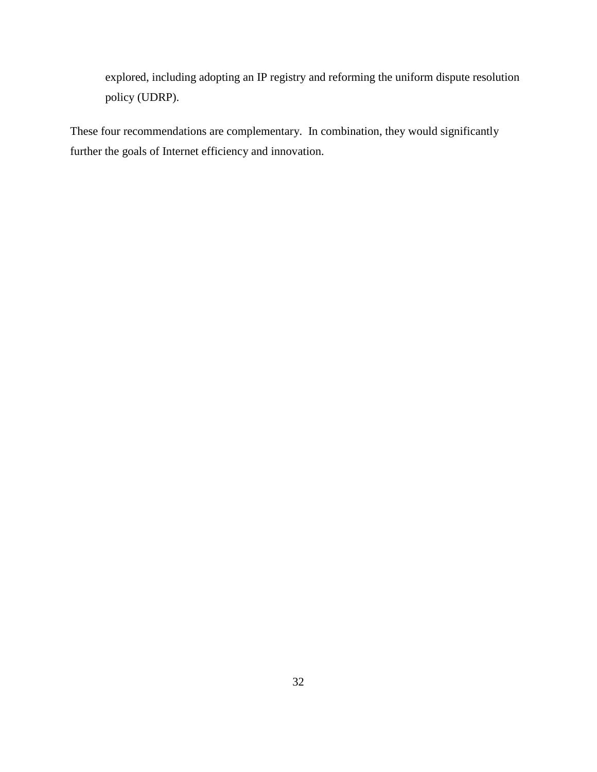explored, including adopting an IP registry and reforming the uniform dispute resolution policy (UDRP).

These four recommendations are complementary. In combination, they would significantly further the goals of Internet efficiency and innovation.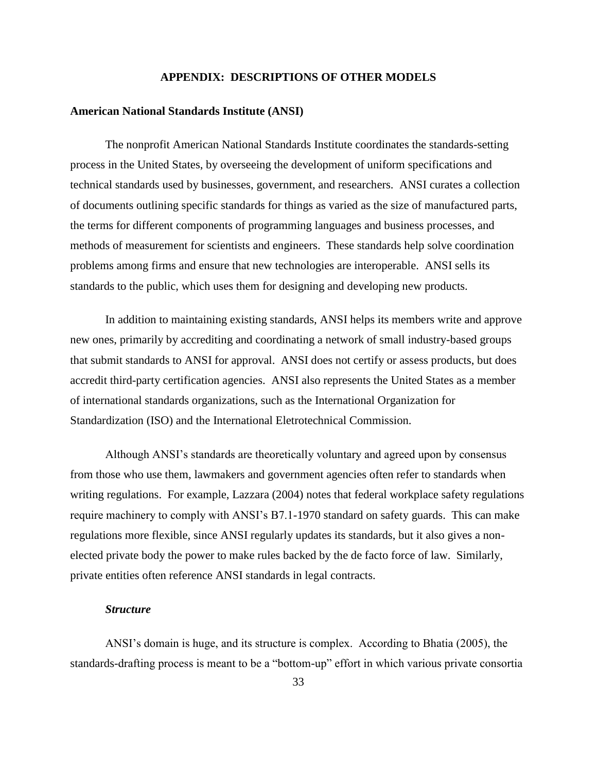## **APPENDIX: DESCRIPTIONS OF OTHER MODELS**

# **American National Standards Institute (ANSI)**

The nonprofit American National Standards Institute coordinates the standards-setting process in the United States, by overseeing the development of uniform specifications and technical standards used by businesses, government, and researchers. ANSI curates a collection of documents outlining specific standards for things as varied as the size of manufactured parts, the terms for different components of programming languages and business processes, and methods of measurement for scientists and engineers. These standards help solve coordination problems among firms and ensure that new technologies are interoperable. ANSI sells its standards to the public, which uses them for designing and developing new products.

In addition to maintaining existing standards, ANSI helps its members write and approve new ones, primarily by accrediting and coordinating a network of small industry-based groups that submit standards to ANSI for approval. ANSI does not certify or assess products, but does accredit third-party certification agencies. ANSI also represents the United States as a member of international standards organizations, such as the International Organization for Standardization (ISO) and the International Eletrotechnical Commission.

Although ANSI's standards are theoretically voluntary and agreed upon by consensus from those who use them, lawmakers and government agencies often refer to standards when writing regulations. For example, Lazzara (2004) notes that federal workplace safety regulations require machinery to comply with ANSI's B7.1-1970 standard on safety guards. This can make regulations more flexible, since ANSI regularly updates its standards, but it also gives a nonelected private body the power to make rules backed by the de facto force of law. Similarly, private entities often reference ANSI standards in legal contracts.

#### *Structure*

ANSI's domain is huge, and its structure is complex. According to Bhatia (2005), the standards-drafting process is meant to be a "bottom-up" effort in which various private consortia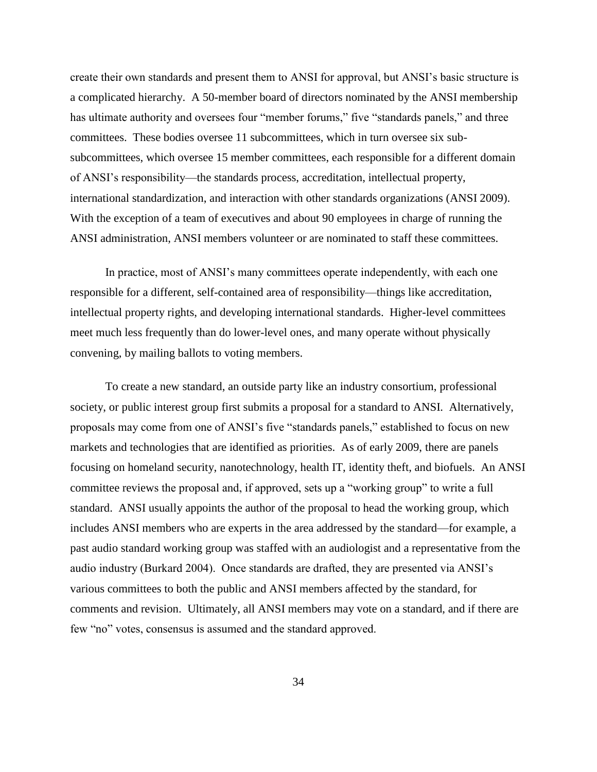create their own standards and present them to ANSI for approval, but ANSI's basic structure is a complicated hierarchy. A 50-member board of directors nominated by the ANSI membership has ultimate authority and oversees four "member forums," five "standards panels," and three committees. These bodies oversee 11 subcommittees, which in turn oversee six subsubcommittees, which oversee 15 member committees, each responsible for a different domain of ANSI's responsibility—the standards process, accreditation, intellectual property, international standardization, and interaction with other standards organizations (ANSI 2009). With the exception of a team of executives and about 90 employees in charge of running the ANSI administration, ANSI members volunteer or are nominated to staff these committees.

In practice, most of ANSI's many committees operate independently, with each one responsible for a different, self-contained area of responsibility—things like accreditation, intellectual property rights, and developing international standards. Higher-level committees meet much less frequently than do lower-level ones, and many operate without physically convening, by mailing ballots to voting members.

To create a new standard, an outside party like an industry consortium, professional society, or public interest group first submits a proposal for a standard to ANSI. Alternatively, proposals may come from one of ANSI's five "standards panels," established to focus on new markets and technologies that are identified as priorities. As of early 2009, there are panels focusing on homeland security, nanotechnology, health IT, identity theft, and biofuels. An ANSI committee reviews the proposal and, if approved, sets up a "working group" to write a full standard. ANSI usually appoints the author of the proposal to head the working group, which includes ANSI members who are experts in the area addressed by the standard—for example, a past audio standard working group was staffed with an audiologist and a representative from the audio industry (Burkard 2004). Once standards are drafted, they are presented via ANSI's various committees to both the public and ANSI members affected by the standard, for comments and revision. Ultimately, all ANSI members may vote on a standard, and if there are few "no" votes, consensus is assumed and the standard approved.

34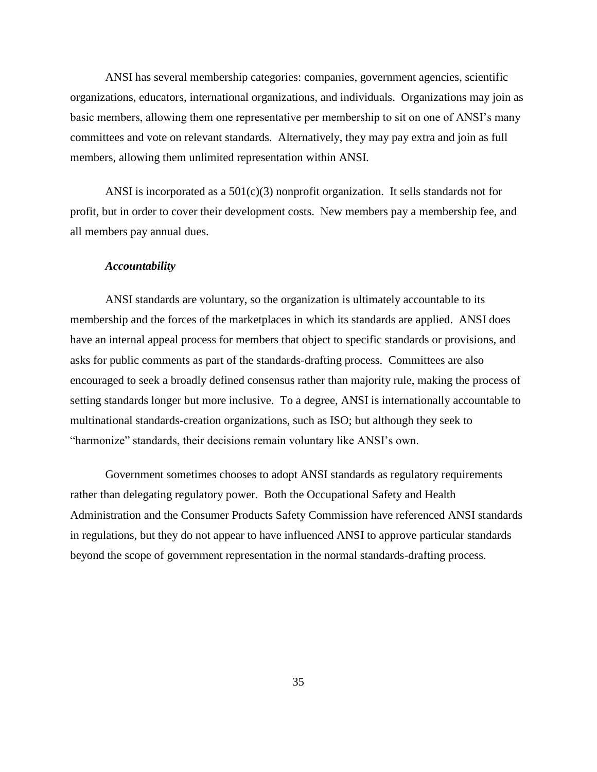ANSI has several membership categories: companies, government agencies, scientific organizations, educators, international organizations, and individuals. Organizations may join as basic members, allowing them one representative per membership to sit on one of ANSI's many committees and vote on relevant standards. Alternatively, they may pay extra and join as full members, allowing them unlimited representation within ANSI.

ANSI is incorporated as a  $501(c)(3)$  nonprofit organization. It sells standards not for profit, but in order to cover their development costs. New members pay a membership fee, and all members pay annual dues.

#### *Accountability*

ANSI standards are voluntary, so the organization is ultimately accountable to its membership and the forces of the marketplaces in which its standards are applied. ANSI does have an internal appeal process for members that object to specific standards or provisions, and asks for public comments as part of the standards-drafting process. Committees are also encouraged to seek a broadly defined consensus rather than majority rule, making the process of setting standards longer but more inclusive. To a degree, ANSI is internationally accountable to multinational standards-creation organizations, such as ISO; but although they seek to "harmonize" standards, their decisions remain voluntary like ANSI's own.

Government sometimes chooses to adopt ANSI standards as regulatory requirements rather than delegating regulatory power. Both the Occupational Safety and Health Administration and the Consumer Products Safety Commission have referenced ANSI standards in regulations, but they do not appear to have influenced ANSI to approve particular standards beyond the scope of government representation in the normal standards-drafting process.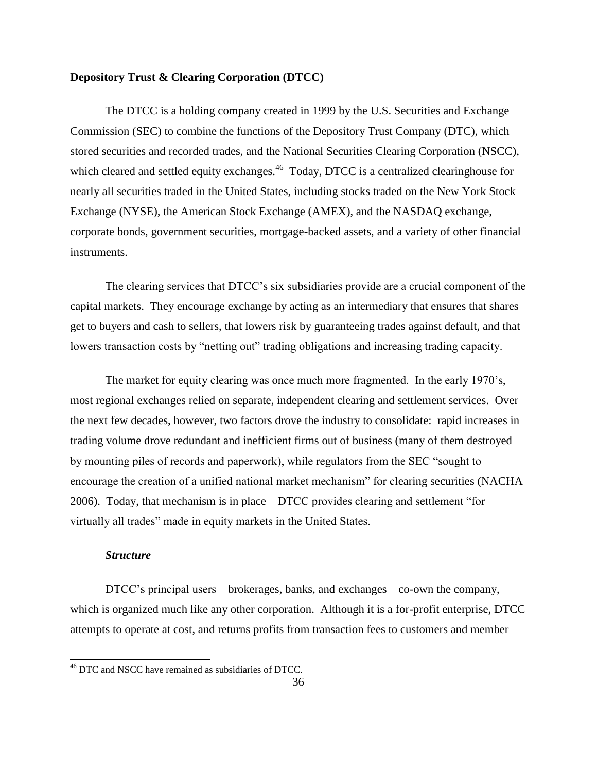# **Depository Trust & Clearing Corporation (DTCC)**

The DTCC is a holding company created in 1999 by the U.S. Securities and Exchange Commission (SEC) to combine the functions of the Depository Trust Company (DTC), which stored securities and recorded trades, and the National Securities Clearing Corporation (NSCC), which cleared and settled equity exchanges.<sup>46</sup> Today, DTCC is a centralized clearinghouse for nearly all securities traded in the United States, including stocks traded on the New York Stock Exchange (NYSE), the American Stock Exchange (AMEX), and the NASDAQ exchange, corporate bonds, government securities, mortgage-backed assets, and a variety of other financial instruments.

The clearing services that DTCC's six subsidiaries provide are a crucial component of the capital markets. They encourage exchange by acting as an intermediary that ensures that shares get to buyers and cash to sellers, that lowers risk by guaranteeing trades against default, and that lowers transaction costs by "netting out" trading obligations and increasing trading capacity.

The market for equity clearing was once much more fragmented. In the early 1970's, most regional exchanges relied on separate, independent clearing and settlement services. Over the next few decades, however, two factors drove the industry to consolidate: rapid increases in trading volume drove redundant and inefficient firms out of business (many of them destroyed by mounting piles of records and paperwork), while regulators from the SEC "sought to encourage the creation of a unified national market mechanism" for clearing securities (NACHA 2006). Today, that mechanism is in place—DTCC provides clearing and settlement "for virtually all trades" made in equity markets in the United States.

## *Structure*

 $\overline{\phantom{a}}$ 

DTCC's principal users—brokerages, banks, and exchanges—co-own the company, which is organized much like any other corporation. Although it is a for-profit enterprise, DTCC attempts to operate at cost, and returns profits from transaction fees to customers and member

<sup>&</sup>lt;sup>46</sup> DTC and NSCC have remained as subsidiaries of DTCC.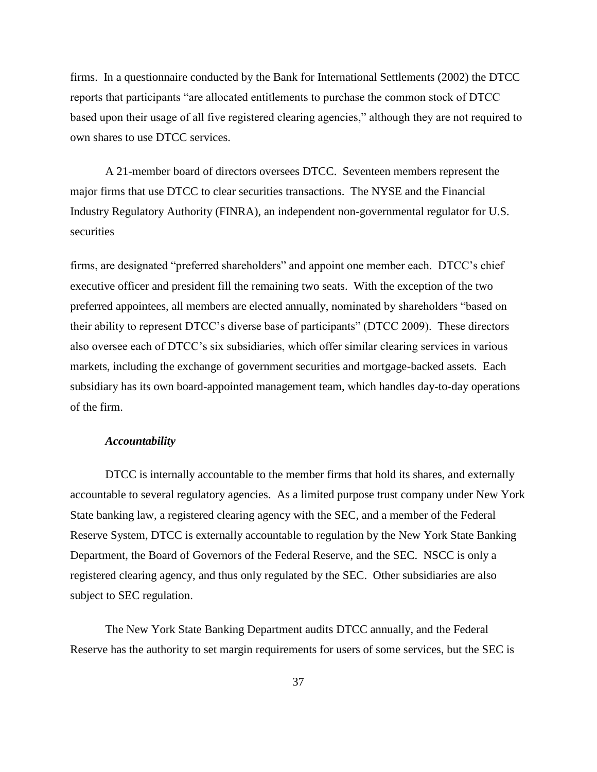firms. In a questionnaire conducted by the Bank for International Settlements (2002) the DTCC reports that participants "are allocated entitlements to purchase the common stock of DTCC based upon their usage of all five registered clearing agencies," although they are not required to own shares to use DTCC services.

A 21-member board of directors oversees DTCC. Seventeen members represent the major firms that use DTCC to clear securities transactions. The NYSE and the Financial Industry Regulatory Authority (FINRA), an independent non-governmental regulator for U.S. securities

firms, are designated "preferred shareholders" and appoint one member each. DTCC's chief executive officer and president fill the remaining two seats. With the exception of the two preferred appointees, all members are elected annually, nominated by shareholders "based on their ability to represent DTCC's diverse base of participants" (DTCC 2009). These directors also oversee each of DTCC's six subsidiaries, which offer similar clearing services in various markets, including the exchange of government securities and mortgage-backed assets. Each subsidiary has its own board-appointed management team, which handles day-to-day operations of the firm.

# *Accountability*

DTCC is internally accountable to the member firms that hold its shares, and externally accountable to several regulatory agencies. As a limited purpose trust company under New York State banking law, a registered clearing agency with the SEC, and a member of the Federal Reserve System, DTCC is externally accountable to regulation by the New York State Banking Department, the Board of Governors of the Federal Reserve, and the SEC. NSCC is only a registered clearing agency, and thus only regulated by the SEC. Other subsidiaries are also subject to SEC regulation.

The New York State Banking Department audits DTCC annually, and the Federal Reserve has the authority to set margin requirements for users of some services, but the SEC is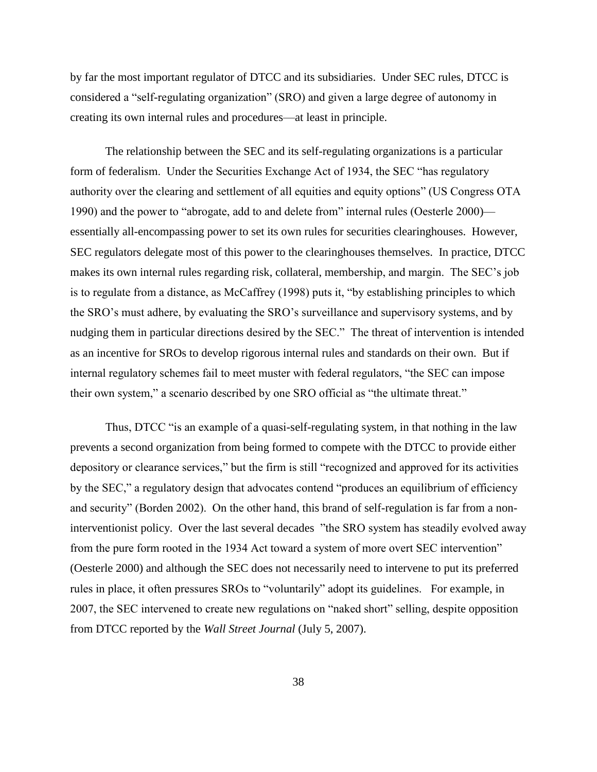by far the most important regulator of DTCC and its subsidiaries. Under SEC rules, DTCC is considered a "self-regulating organization" (SRO) and given a large degree of autonomy in creating its own internal rules and procedures—at least in principle.

The relationship between the SEC and its self-regulating organizations is a particular form of federalism. Under the Securities Exchange Act of 1934, the SEC "has regulatory authority over the clearing and settlement of all equities and equity options" (US Congress OTA 1990) and the power to "abrogate, add to and delete from" internal rules (Oesterle 2000) essentially all-encompassing power to set its own rules for securities clearinghouses. However, SEC regulators delegate most of this power to the clearinghouses themselves. In practice, DTCC makes its own internal rules regarding risk, collateral, membership, and margin. The SEC's job is to regulate from a distance, as McCaffrey (1998) puts it, "by establishing principles to which the SRO's must adhere, by evaluating the SRO's surveillance and supervisory systems, and by nudging them in particular directions desired by the SEC." The threat of intervention is intended as an incentive for SROs to develop rigorous internal rules and standards on their own. But if internal regulatory schemes fail to meet muster with federal regulators, "the SEC can impose their own system," a scenario described by one SRO official as "the ultimate threat."

Thus, DTCC "is an example of a quasi-self-regulating system, in that nothing in the law prevents a second organization from being formed to compete with the DTCC to provide either depository or clearance services," but the firm is still "recognized and approved for its activities by the SEC," a regulatory design that advocates contend "produces an equilibrium of efficiency and security" (Borden 2002). On the other hand, this brand of self-regulation is far from a noninterventionist policy. Over the last several decades "the SRO system has steadily evolved away from the pure form rooted in the 1934 Act toward a system of more overt SEC intervention" (Oesterle 2000) and although the SEC does not necessarily need to intervene to put its preferred rules in place, it often pressures SROs to "voluntarily" adopt its guidelines. For example, in 2007, the SEC intervened to create new regulations on "naked short" selling, despite opposition from DTCC reported by the *Wall Street Journal* (July 5, 2007).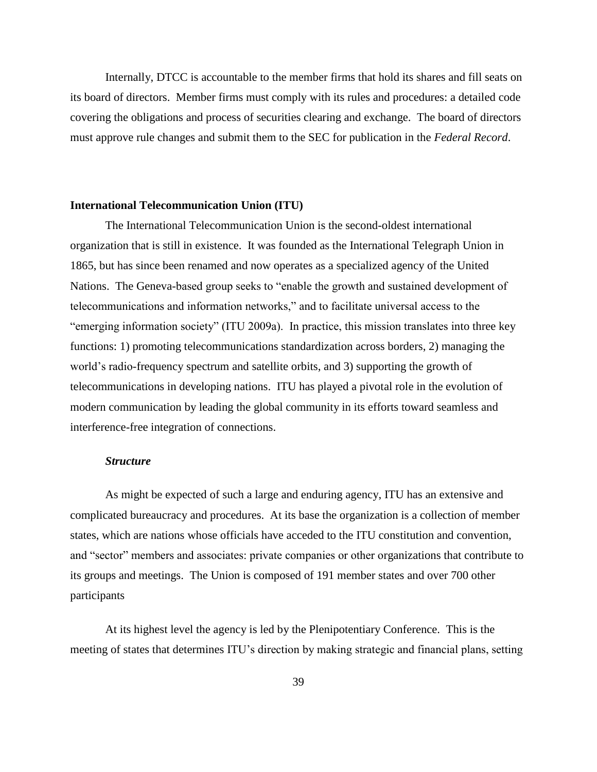Internally, DTCC is accountable to the member firms that hold its shares and fill seats on its board of directors. Member firms must comply with its rules and procedures: a detailed code covering the obligations and process of securities clearing and exchange. The board of directors must approve rule changes and submit them to the SEC for publication in the *Federal Record*.

## **International Telecommunication Union (ITU)**

The International Telecommunication Union is the second-oldest international organization that is still in existence. It was founded as the International Telegraph Union in 1865, but has since been renamed and now operates as a specialized agency of the United Nations. The Geneva-based group seeks to "enable the growth and sustained development of telecommunications and information networks,‖ and to facilitate universal access to the "emerging information society" (ITU 2009a). In practice, this mission translates into three key functions: 1) promoting telecommunications standardization across borders, 2) managing the world's radio-frequency spectrum and satellite orbits, and 3) supporting the growth of telecommunications in developing nations. ITU has played a pivotal role in the evolution of modern communication by leading the global community in its efforts toward seamless and interference-free integration of connections.

## *Structure*

As might be expected of such a large and enduring agency, ITU has an extensive and complicated bureaucracy and procedures. At its base the organization is a collection of member states, which are nations whose officials have acceded to the ITU constitution and convention, and "sector" members and associates: private companies or other organizations that contribute to its groups and meetings. The Union is composed of 191 member states and over 700 other participants

At its highest level the agency is led by the Plenipotentiary Conference. This is the meeting of states that determines ITU's direction by making strategic and financial plans, setting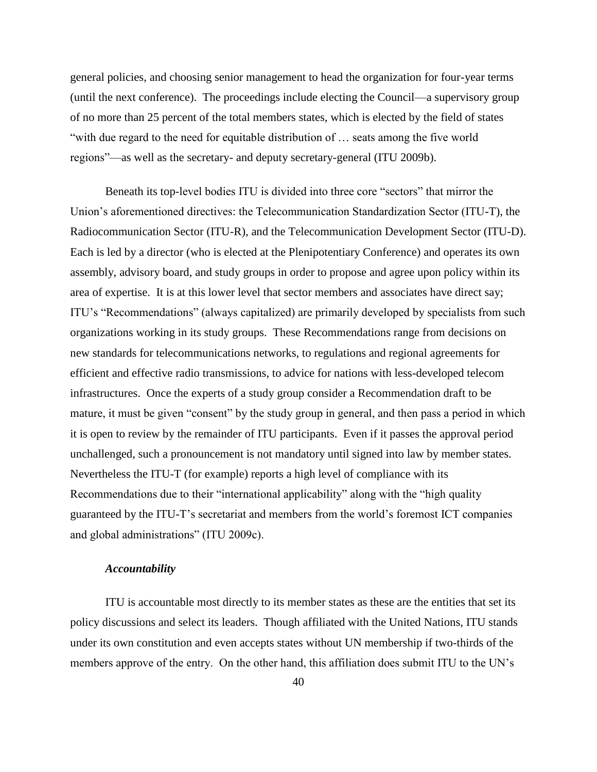general policies, and choosing senior management to head the organization for four-year terms (until the next conference). The proceedings include electing the Council—a supervisory group of no more than 25 percent of the total members states, which is elected by the field of states "with due regard to the need for equitable distribution of ... seats among the five world regions"—as well as the secretary- and deputy secretary-general (ITU 2009b).

Beneath its top-level bodies ITU is divided into three core "sectors" that mirror the Union's aforementioned directives: the Telecommunication Standardization Sector (ITU-T), the Radiocommunication Sector (ITU-R), and the Telecommunication Development Sector (ITU-D). Each is led by a director (who is elected at the Plenipotentiary Conference) and operates its own assembly, advisory board, and study groups in order to propose and agree upon policy within its area of expertise. It is at this lower level that sector members and associates have direct say; ITU's "Recommendations" (always capitalized) are primarily developed by specialists from such organizations working in its study groups. These Recommendations range from decisions on new standards for telecommunications networks, to regulations and regional agreements for efficient and effective radio transmissions, to advice for nations with less-developed telecom infrastructures. Once the experts of a study group consider a Recommendation draft to be mature, it must be given "consent" by the study group in general, and then pass a period in which it is open to review by the remainder of ITU participants. Even if it passes the approval period unchallenged, such a pronouncement is not mandatory until signed into law by member states. Nevertheless the ITU-T (for example) reports a high level of compliance with its Recommendations due to their "international applicability" along with the "high quality" guaranteed by the ITU-T's secretariat and members from the world's foremost ICT companies and global administrations" (ITU 2009c).

# *Accountability*

ITU is accountable most directly to its member states as these are the entities that set its policy discussions and select its leaders. Though affiliated with the United Nations, ITU stands under its own constitution and even accepts states without UN membership if two-thirds of the members approve of the entry. On the other hand, this affiliation does submit ITU to the UN's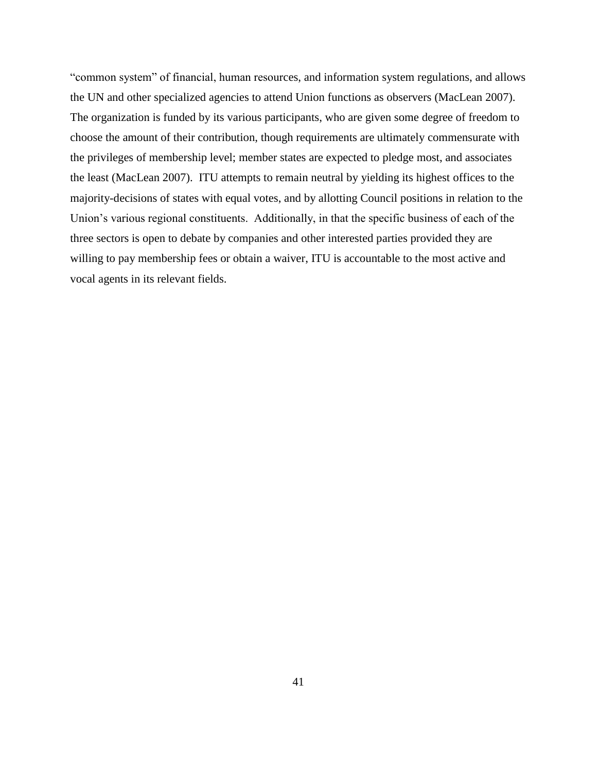―common system‖ of financial, human resources, and information system regulations, and allows the UN and other specialized agencies to attend Union functions as observers (MacLean 2007). The organization is funded by its various participants, who are given some degree of freedom to choose the amount of their contribution, though requirements are ultimately commensurate with the privileges of membership level; member states are expected to pledge most, and associates the least (MacLean 2007). ITU attempts to remain neutral by yielding its highest offices to the majority-decisions of states with equal votes, and by allotting Council positions in relation to the Union's various regional constituents. Additionally, in that the specific business of each of the three sectors is open to debate by companies and other interested parties provided they are willing to pay membership fees or obtain a waiver, ITU is accountable to the most active and vocal agents in its relevant fields.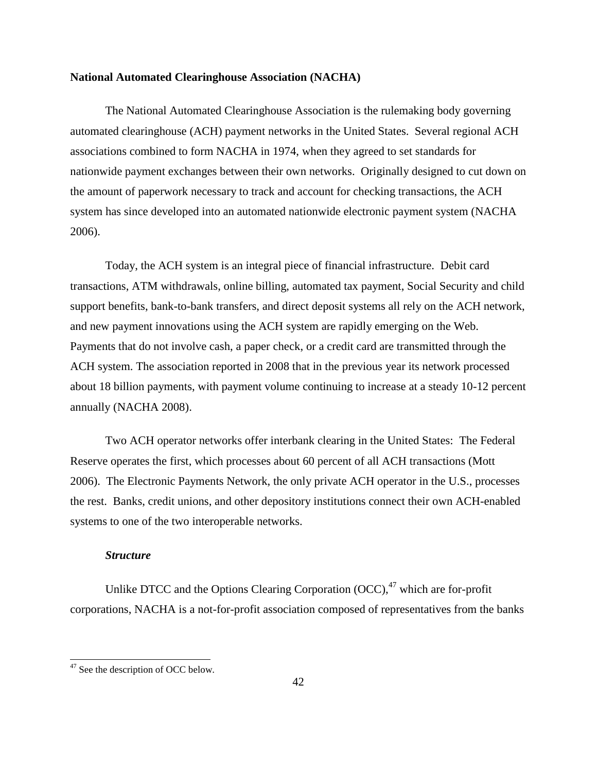# **National Automated Clearinghouse Association (NACHA)**

The National Automated Clearinghouse Association is the rulemaking body governing automated clearinghouse (ACH) payment networks in the United States. Several regional ACH associations combined to form NACHA in 1974, when they agreed to set standards for nationwide payment exchanges between their own networks. Originally designed to cut down on the amount of paperwork necessary to track and account for checking transactions, the ACH system has since developed into an automated nationwide electronic payment system (NACHA 2006).

Today, the ACH system is an integral piece of financial infrastructure. Debit card transactions, ATM withdrawals, online billing, automated tax payment, Social Security and child support benefits, bank-to-bank transfers, and direct deposit systems all rely on the ACH network, and new payment innovations using the ACH system are rapidly emerging on the Web. Payments that do not involve cash, a paper check, or a credit card are transmitted through the ACH system. The association reported in 2008 that in the previous year its network processed about 18 billion payments, with payment volume continuing to increase at a steady 10-12 percent annually (NACHA 2008).

Two ACH operator networks offer interbank clearing in the United States: The Federal Reserve operates the first, which processes about 60 percent of all ACH transactions (Mott 2006). The Electronic Payments Network, the only private ACH operator in the U.S., processes the rest. Banks, credit unions, and other depository institutions connect their own ACH-enabled systems to one of the two interoperable networks.

#### *Structure*

Unlike DTCC and the Options Clearing Corporation  $(OCC)$ ,<sup>47</sup> which are for-profit corporations, NACHA is a not-for-profit association composed of representatives from the banks

 $\overline{\phantom{a}}$ 

 $47$  See the description of OCC below.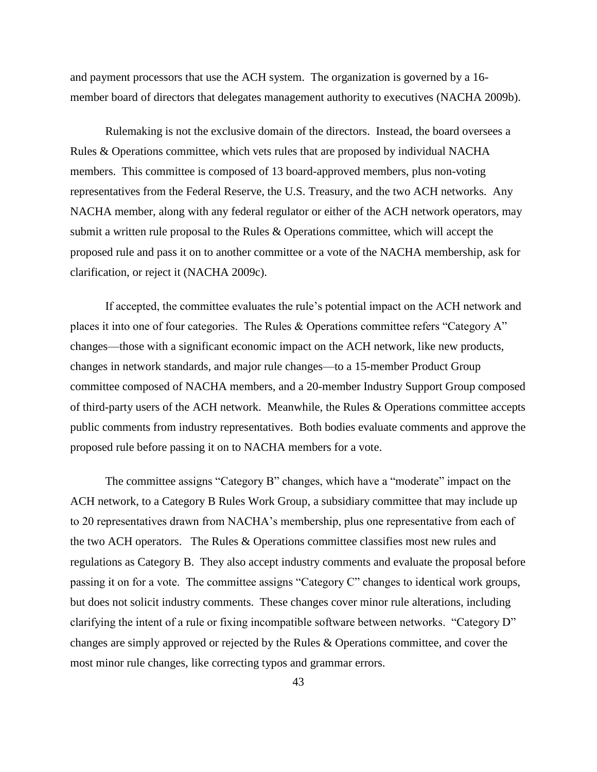and payment processors that use the ACH system. The organization is governed by a 16 member board of directors that delegates management authority to executives (NACHA 2009b).

Rulemaking is not the exclusive domain of the directors. Instead, the board oversees a Rules & Operations committee, which vets rules that are proposed by individual NACHA members. This committee is composed of 13 board-approved members, plus non-voting representatives from the Federal Reserve, the U.S. Treasury, and the two ACH networks. Any NACHA member, along with any federal regulator or either of the ACH network operators, may submit a written rule proposal to the Rules & Operations committee, which will accept the proposed rule and pass it on to another committee or a vote of the NACHA membership, ask for clarification, or reject it (NACHA 2009c).

If accepted, the committee evaluates the rule's potential impact on the ACH network and places it into one of four categories. The Rules  $\&$  Operations committee refers "Category A" changes—those with a significant economic impact on the ACH network, like new products, changes in network standards, and major rule changes—to a 15-member Product Group committee composed of NACHA members, and a 20-member Industry Support Group composed of third-party users of the ACH network. Meanwhile, the Rules & Operations committee accepts public comments from industry representatives. Both bodies evaluate comments and approve the proposed rule before passing it on to NACHA members for a vote.

The committee assigns "Category B" changes, which have a "moderate" impact on the ACH network, to a Category B Rules Work Group, a subsidiary committee that may include up to 20 representatives drawn from NACHA's membership, plus one representative from each of the two ACH operators. The Rules & Operations committee classifies most new rules and regulations as Category B. They also accept industry comments and evaluate the proposal before passing it on for a vote. The committee assigns "Category C" changes to identical work groups, but does not solicit industry comments. These changes cover minor rule alterations, including clarifying the intent of a rule or fixing incompatible software between networks. "Category D" changes are simply approved or rejected by the Rules & Operations committee, and cover the most minor rule changes, like correcting typos and grammar errors.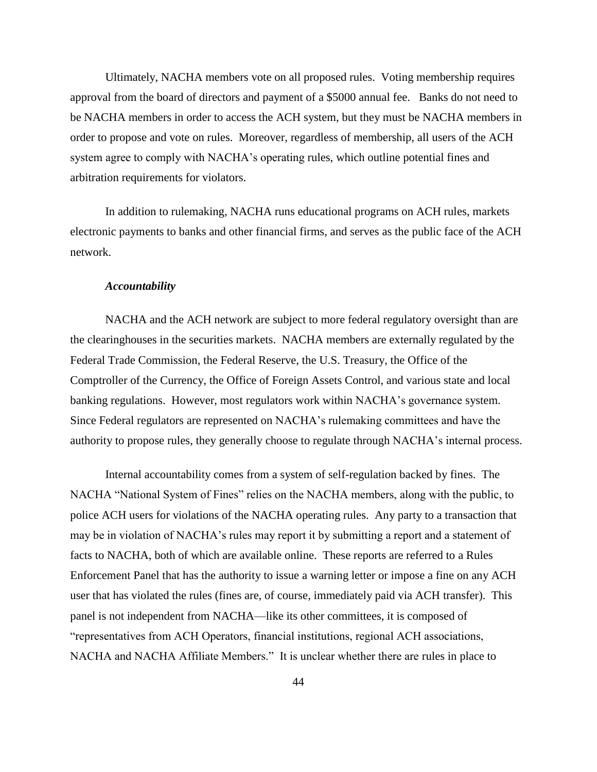Ultimately, NACHA members vote on all proposed rules. Voting membership requires approval from the board of directors and payment of a \$5000 annual fee. Banks do not need to be NACHA members in order to access the ACH system, but they must be NACHA members in order to propose and vote on rules. Moreover, regardless of membership, all users of the ACH system agree to comply with NACHA's operating rules, which outline potential fines and arbitration requirements for violators.

In addition to rulemaking, NACHA runs educational programs on ACH rules, markets electronic payments to banks and other financial firms, and serves as the public face of the ACH network.

## *Accountability*

NACHA and the ACH network are subject to more federal regulatory oversight than are the clearinghouses in the securities markets. NACHA members are externally regulated by the Federal Trade Commission, the Federal Reserve, the U.S. Treasury, the Office of the Comptroller of the Currency, the Office of Foreign Assets Control, and various state and local banking regulations. However, most regulators work within NACHA's governance system. Since Federal regulators are represented on NACHA's rulemaking committees and have the authority to propose rules, they generally choose to regulate through NACHA's internal process.

Internal accountability comes from a system of self-regulation backed by fines. The NACHA "National System of Fines" relies on the NACHA members, along with the public, to police ACH users for violations of the NACHA operating rules. Any party to a transaction that may be in violation of NACHA's rules may report it by submitting a report and a statement of facts to NACHA, both of which are available online. These reports are referred to a Rules Enforcement Panel that has the authority to issue a warning letter or impose a fine on any ACH user that has violated the rules (fines are, of course, immediately paid via ACH transfer). This panel is not independent from NACHA—like its other committees, it is composed of ―representatives from ACH Operators, financial institutions, regional ACH associations, NACHA and NACHA Affiliate Members." It is unclear whether there are rules in place to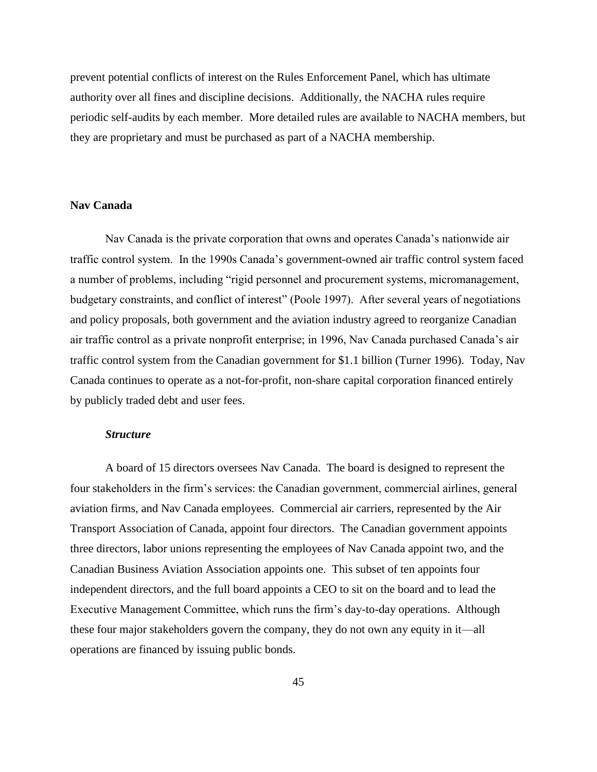prevent potential conflicts of interest on the Rules Enforcement Panel, which has ultimate authority over all fines and discipline decisions. Additionally, the NACHA rules require periodic self-audits by each member. More detailed rules are available to NACHA members, but they are proprietary and must be purchased as part of a NACHA membership.

# **Nav Canada**

Nav Canada is the private corporation that owns and operates Canada's nationwide air traffic control system. In the 1990s Canada's government-owned air traffic control system faced a number of problems, including "rigid personnel and procurement systems, micromanagement, budgetary constraints, and conflict of interest" (Poole 1997). After several years of negotiations and policy proposals, both government and the aviation industry agreed to reorganize Canadian air traffic control as a private nonprofit enterprise; in 1996, Nav Canada purchased Canada's air traffic control system from the Canadian government for \$1.1 billion (Turner 1996). Today, Nav Canada continues to operate as a not-for-profit, non-share capital corporation financed entirely by publicly traded debt and user fees.

## *Structure*

A board of 15 directors oversees Nav Canada. The board is designed to represent the four stakeholders in the firm's services: the Canadian government, commercial airlines, general aviation firms, and Nav Canada employees. Commercial air carriers, represented by the Air Transport Association of Canada, appoint four directors. The Canadian government appoints three directors, labor unions representing the employees of Nav Canada appoint two, and the Canadian Business Aviation Association appoints one. This subset of ten appoints four independent directors, and the full board appoints a CEO to sit on the board and to lead the Executive Management Committee, which runs the firm's day-to-day operations. Although these four major stakeholders govern the company, they do not own any equity in it—all operations are financed by issuing public bonds.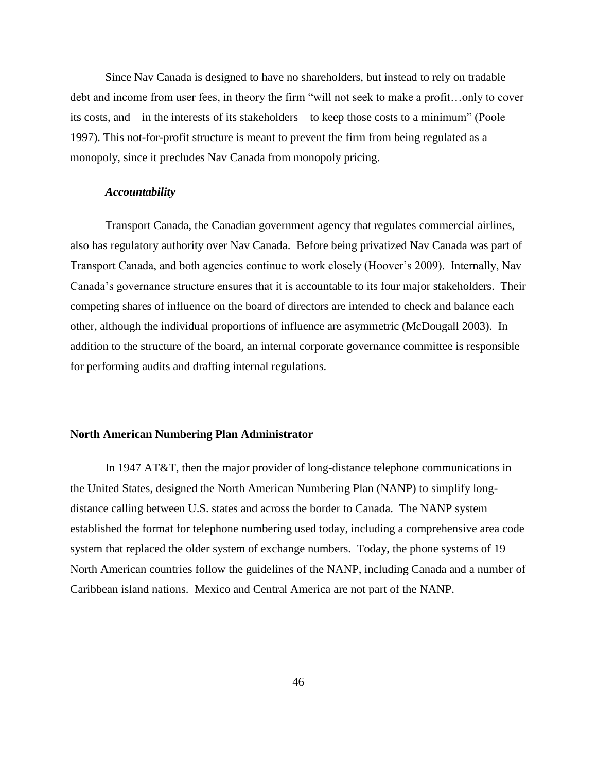Since Nav Canada is designed to have no shareholders, but instead to rely on tradable debt and income from user fees, in theory the firm "will not seek to make a profit...only to cover its costs, and—in the interests of its stakeholders—to keep those costs to a minimum" (Poole 1997). This not-for-profit structure is meant to prevent the firm from being regulated as a monopoly, since it precludes Nav Canada from monopoly pricing.

## *Accountability*

Transport Canada, the Canadian government agency that regulates commercial airlines, also has regulatory authority over Nav Canada. Before being privatized Nav Canada was part of Transport Canada, and both agencies continue to work closely (Hoover's 2009). Internally, Nav Canada's governance structure ensures that it is accountable to its four major stakeholders. Their competing shares of influence on the board of directors are intended to check and balance each other, although the individual proportions of influence are asymmetric (McDougall 2003). In addition to the structure of the board, an internal corporate governance committee is responsible for performing audits and drafting internal regulations.

## **North American Numbering Plan Administrator**

In 1947 AT&T, then the major provider of long-distance telephone communications in the United States, designed the North American Numbering Plan (NANP) to simplify longdistance calling between U.S. states and across the border to Canada. The NANP system established the format for telephone numbering used today, including a comprehensive area code system that replaced the older system of exchange numbers. Today, the phone systems of 19 North American countries follow the guidelines of the NANP, including Canada and a number of Caribbean island nations. Mexico and Central America are not part of the NANP.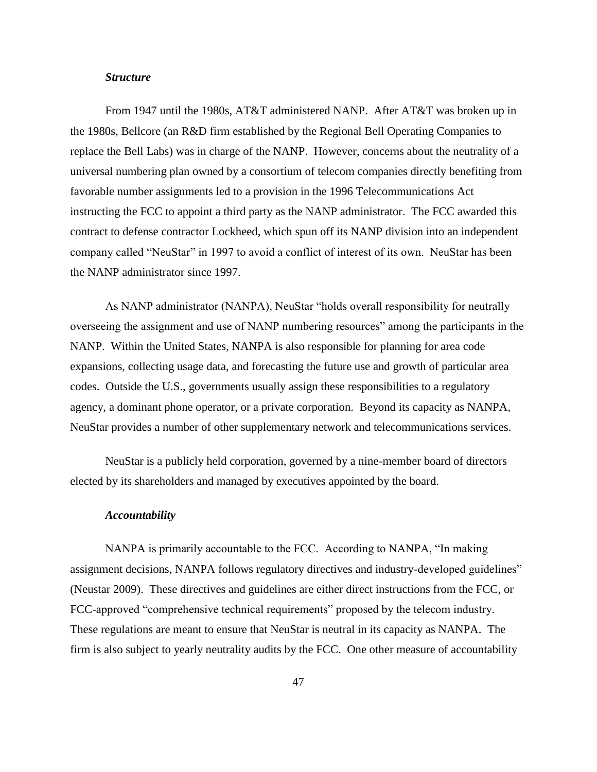## *Structure*

From 1947 until the 1980s, AT&T administered NANP. After AT&T was broken up in the 1980s, Bellcore (an R&D firm established by the Regional Bell Operating Companies to replace the Bell Labs) was in charge of the NANP. However, concerns about the neutrality of a universal numbering plan owned by a consortium of telecom companies directly benefiting from favorable number assignments led to a provision in the 1996 Telecommunications Act instructing the FCC to appoint a third party as the NANP administrator. The FCC awarded this contract to defense contractor Lockheed, which spun off its NANP division into an independent company called "NeuStar" in 1997 to avoid a conflict of interest of its own. NeuStar has been the NANP administrator since 1997.

As NANP administrator (NANPA), NeuStar "holds overall responsibility for neutrally overseeing the assignment and use of NANP numbering resources" among the participants in the NANP. Within the United States, NANPA is also responsible for planning for area code expansions, collecting usage data, and forecasting the future use and growth of particular area codes. Outside the U.S., governments usually assign these responsibilities to a regulatory agency, a dominant phone operator, or a private corporation. Beyond its capacity as NANPA, NeuStar provides a number of other supplementary network and telecommunications services.

NeuStar is a publicly held corporation, governed by a nine-member board of directors elected by its shareholders and managed by executives appointed by the board.

## *Accountability*

NANPA is primarily accountable to the FCC. According to NANPA, "In making assignment decisions, NANPA follows regulatory directives and industry-developed guidelines" (Neustar 2009). These directives and guidelines are either direct instructions from the FCC, or FCC-approved "comprehensive technical requirements" proposed by the telecom industry. These regulations are meant to ensure that NeuStar is neutral in its capacity as NANPA. The firm is also subject to yearly neutrality audits by the FCC. One other measure of accountability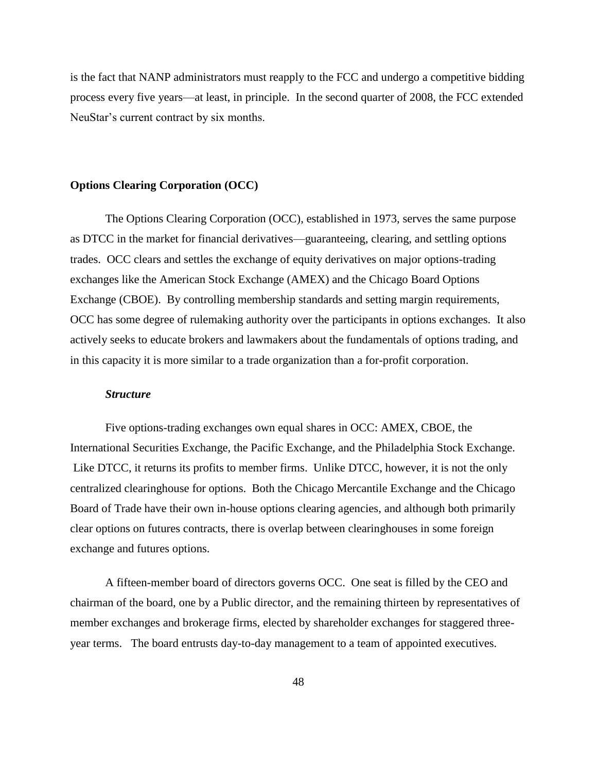is the fact that NANP administrators must reapply to the FCC and undergo a competitive bidding process every five years—at least, in principle. In the second quarter of 2008, the FCC extended NeuStar's current contract by six months.

## **Options Clearing Corporation (OCC)**

The Options Clearing Corporation (OCC), established in 1973, serves the same purpose as DTCC in the market for financial derivatives—guaranteeing, clearing, and settling options trades. OCC clears and settles the exchange of equity derivatives on major options-trading exchanges like the American Stock Exchange (AMEX) and the Chicago Board Options Exchange (CBOE). By controlling membership standards and setting margin requirements, OCC has some degree of rulemaking authority over the participants in options exchanges. It also actively seeks to educate brokers and lawmakers about the fundamentals of options trading, and in this capacity it is more similar to a trade organization than a for-profit corporation.

#### *Structure*

Five options-trading exchanges own equal shares in OCC: AMEX, CBOE, the International Securities Exchange, the Pacific Exchange, and the Philadelphia Stock Exchange. Like DTCC, it returns its profits to member firms. Unlike DTCC, however, it is not the only centralized clearinghouse for options. Both the Chicago Mercantile Exchange and the Chicago Board of Trade have their own in-house options clearing agencies, and although both primarily clear options on futures contracts, there is overlap between clearinghouses in some foreign exchange and futures options.

A fifteen-member board of directors governs OCC. One seat is filled by the CEO and chairman of the board, one by a Public director, and the remaining thirteen by representatives of member exchanges and brokerage firms, elected by shareholder exchanges for staggered threeyear terms. The board entrusts day-to-day management to a team of appointed executives.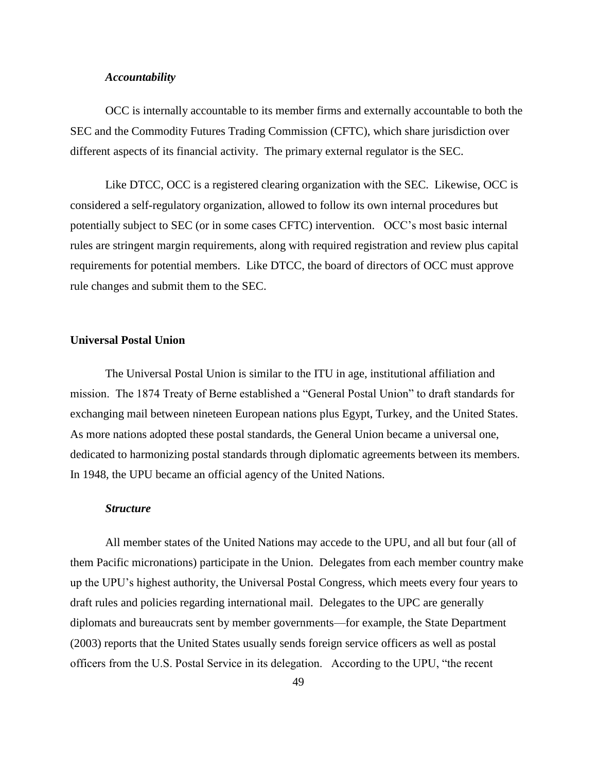## *Accountability*

OCC is internally accountable to its member firms and externally accountable to both the SEC and the Commodity Futures Trading Commission (CFTC), which share jurisdiction over different aspects of its financial activity. The primary external regulator is the SEC.

Like DTCC, OCC is a registered clearing organization with the SEC. Likewise, OCC is considered a self-regulatory organization, allowed to follow its own internal procedures but potentially subject to SEC (or in some cases CFTC) intervention. OCC's most basic internal rules are stringent margin requirements, along with required registration and review plus capital requirements for potential members. Like DTCC, the board of directors of OCC must approve rule changes and submit them to the SEC.

# **Universal Postal Union**

The Universal Postal Union is similar to the ITU in age, institutional affiliation and mission. The 1874 Treaty of Berne established a "General Postal Union" to draft standards for exchanging mail between nineteen European nations plus Egypt, Turkey, and the United States. As more nations adopted these postal standards, the General Union became a universal one, dedicated to harmonizing postal standards through diplomatic agreements between its members. In 1948, the UPU became an official agency of the United Nations.

## *Structure*

All member states of the United Nations may accede to the UPU, and all but four (all of them Pacific micronations) participate in the Union. Delegates from each member country make up the UPU's highest authority, the Universal Postal Congress, which meets every four years to draft rules and policies regarding international mail. Delegates to the UPC are generally diplomats and bureaucrats sent by member governments—for example, the State Department (2003) reports that the United States usually sends foreign service officers as well as postal officers from the U.S. Postal Service in its delegation. According to the UPU, "the recent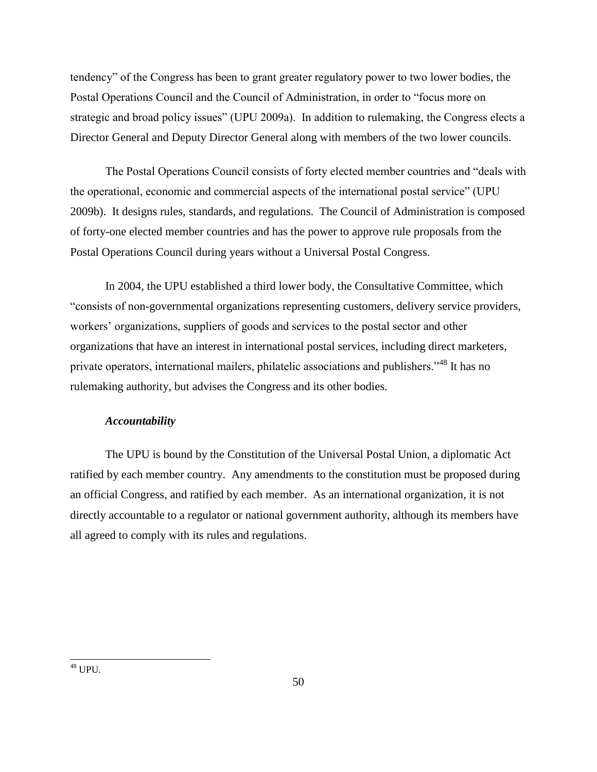tendency‖ of the Congress has been to grant greater regulatory power to two lower bodies, the Postal Operations Council and the Council of Administration, in order to "focus more on strategic and broad policy issues" (UPU 2009a). In addition to rulemaking, the Congress elects a Director General and Deputy Director General along with members of the two lower councils.

The Postal Operations Council consists of forty elected member countries and "deals with the operational, economic and commercial aspects of the international postal service" (UPU 2009b). It designs rules, standards, and regulations. The Council of Administration is composed of forty-one elected member countries and has the power to approve rule proposals from the Postal Operations Council during years without a Universal Postal Congress.

In 2004, the UPU established a third lower body, the Consultative Committee, which ―consists of non-governmental organizations representing customers, delivery service providers, workers' organizations, suppliers of goods and services to the postal sector and other organizations that have an interest in international postal services, including direct marketers, private operators, international mailers, philatelic associations and publishers."<sup>48</sup> It has no rulemaking authority, but advises the Congress and its other bodies.

# *Accountability*

The UPU is bound by the Constitution of the Universal Postal Union, a diplomatic Act ratified by each member country. Any amendments to the constitution must be proposed during an official Congress, and ratified by each member. As an international organization, it is not directly accountable to a regulator or national government authority, although its members have all agreed to comply with its rules and regulations.

 $\overline{\phantom{a}}$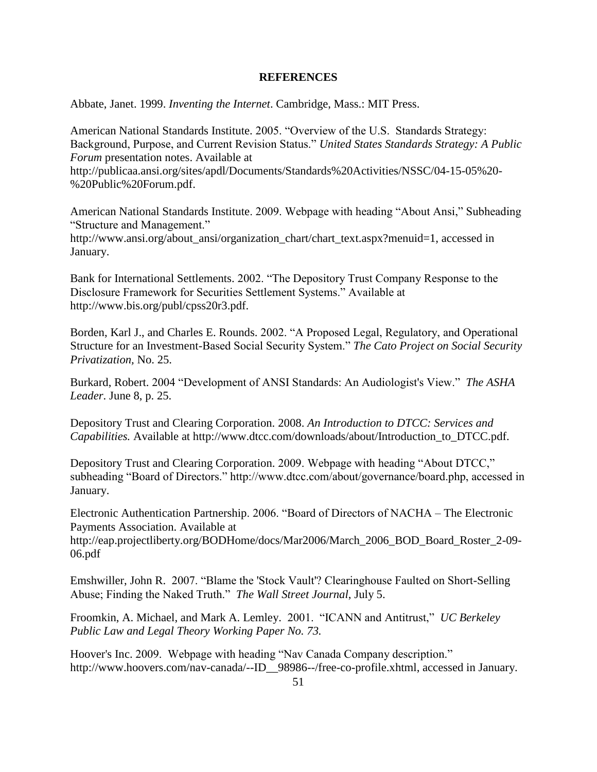# **REFERENCES**

Abbate, Janet. 1999. *Inventing the Internet*. Cambridge, Mass.: MIT Press.

American National Standards Institute. 2005. "Overview of the U.S. Standards Strategy: Background, Purpose, and Current Revision Status." United States Standards Strategy: A Public *Forum* presentation notes. Available at

http://publicaa.ansi.org/sites/apdl/Documents/Standards%20Activities/NSSC/04-15-05%20- %20Public%20Forum.pdf.

American National Standards Institute. 2009. Webpage with heading "About Ansi," Subheading "Structure and Management." http://www.ansi.org/about\_ansi/organization\_chart/chart\_text.aspx?menuid=1, accessed in

January.

Bank for International Settlements. 2002. "The Depository Trust Company Response to the Disclosure Framework for Securities Settlement Systems." Available at http://www.bis.org/publ/cpss20r3.pdf.

Borden, Karl J., and Charles E. Rounds. 2002. "A Proposed Legal, Regulatory, and Operational Structure for an Investment-Based Social Security System." The Cato Project on Social Security *Privatization,* No. 25.

Burkard, Robert. 2004 "Development of ANSI Standards: An Audiologist's View." *The ASHA Leader*. June 8, p. 25.

Depository Trust and Clearing Corporation. 2008. *An Introduction to DTCC: Services and Capabilities.* Available at http://www.dtcc.com/downloads/about/Introduction\_to\_DTCC.pdf.

Depository Trust and Clearing Corporation. 2009. Webpage with heading "About DTCC," subheading "Board of Directors." http://www.dtcc.com/about/governance/board.php, accessed in January.

Electronic Authentication Partnership. 2006. "Board of Directors of NACHA – The Electronic Payments Association. Available at

http://eap.projectliberty.org/BODHome/docs/Mar2006/March\_2006\_BOD\_Board\_Roster\_2-09- 06.pdf

Emshwiller, John R. 2007. "Blame the 'Stock Vault'? Clearinghouse Faulted on Short-Selling Abuse; Finding the Naked Truth." The Wall Street Journal, July 5.

Froomkin, A. Michael, and Mark A. Lemley. 2001. "ICANN and Antitrust," *UC Berkeley Public Law and Legal Theory Working Paper No. 73.*

Hoover's Inc. 2009. Webpage with heading "Nav Canada Company description." http://www.hoovers.com/nav-canada/--ID\_\_98986--/free-co-profile.xhtml, accessed in January.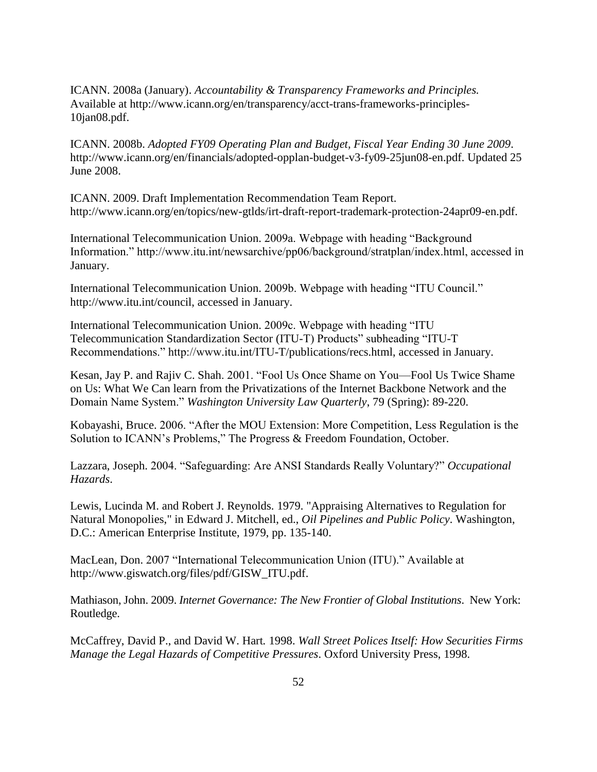ICANN. 2008a (January). *Accountability & Transparency Frameworks and Principles.* Available at http://www.icann.org/en/transparency/acct-trans-frameworks-principles-10jan08.pdf.

ICANN. 2008b. *Adopted FY09 Operating Plan and Budget, Fiscal Year Ending 30 June 2009*. http://www.icann.org/en/financials/adopted-opplan-budget-v3-fy09-25jun08-en.pdf. Updated 25 June 2008.

ICANN. 2009. Draft Implementation Recommendation Team Report. http://www.icann.org/en/topics/new-gtlds/irt-draft-report-trademark-protection-24apr09-en.pdf.

International Telecommunication Union. 2009a. Webpage with heading "Background" Information." http://www.itu.int/newsarchive/pp06/background/stratplan/index.html, accessed in January.

International Telecommunication Union. 2009b. Webpage with heading "ITU Council." http://www.itu.int/council, accessed in January.

International Telecommunication Union. 2009c. Webpage with heading "ITU Telecommunication Standardization Sector (ITU-T) Products" subheading "ITU-T Recommendations." http://www.itu.int/ITU-T/publications/recs.html, accessed in January.

Kesan, Jay P. and Rajiv C. Shah. 2001. "Fool Us Once Shame on You—Fool Us Twice Shame on Us: What We Can learn from the Privatizations of the Internet Backbone Network and the Domain Name System.‖ *Washington University Law Quarterly*, 79 (Spring): 89-220.

Kobayashi, Bruce. 2006. "After the MOU Extension: More Competition, Less Regulation is the Solution to ICANN's Problems," The Progress & Freedom Foundation, October.

Lazzara, Joseph. 2004. "Safeguarding: Are ANSI Standards Really Voluntary?" Occupational *Hazards*.

Lewis, Lucinda M. and Robert J. Reynolds. 1979. "Appraising Alternatives to Regulation for Natural Monopolies," in Edward J. Mitchell, ed., *Oil Pipelines and Public Policy*. Washington, D.C.: American Enterprise Institute, 1979, pp. 135-140.

MacLean, Don. 2007 "International Telecommunication Union (ITU)." Available at http://www.giswatch.org/files/pdf/GISW\_ITU.pdf.

Mathiason, John. 2009. *Internet Governance: The New Frontier of Global Institutions*. New York: Routledge.

McCaffrey, David P., and David W. Hart*.* 1998. *Wall Street Polices Itself: How Securities Firms Manage the Legal Hazards of Competitive Pressures*. Oxford University Press, 1998.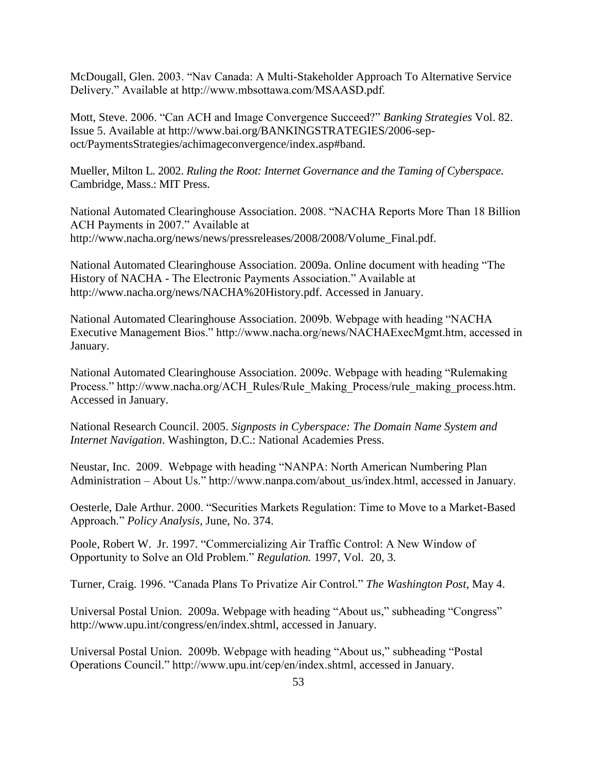McDougall, Glen. 2003. "Nav Canada: A Multi-Stakeholder Approach To Alternative Service Delivery.‖ Available at http://www.mbsottawa.com/MSAASD.pdf.

Mott, Steve. 2006. "Can ACH and Image Convergence Succeed?" *Banking Strategies* Vol. 82. Issue 5. Available at http://www.bai.org/BANKINGSTRATEGIES/2006-sepoct/PaymentsStrategies/achimageconvergence/index.asp#band.

Mueller, Milton L. 2002. *Ruling the Root: Internet Governance and the Taming of Cyberspace.* Cambridge, Mass.: MIT Press.

National Automated Clearinghouse Association. 2008. "NACHA Reports More Than 18 Billion ACH Payments in 2007." Available at http://www.nacha.org/news/news/pressreleases/2008/2008/Volume\_Final.pdf.

National Automated Clearinghouse Association. 2009a. Online document with heading "The History of NACHA - The Electronic Payments Association." Available at http://www.nacha.org/news/NACHA%20History.pdf. Accessed in January.

National Automated Clearinghouse Association. 2009b. Webpage with heading "NACHA Executive Management Bios." http://www.nacha.org/news/NACHAExecMgmt.htm, accessed in January.

National Automated Clearinghouse Association. 2009c. Webpage with heading "Rulemaking" Process." http://www.nacha.org/ACH\_Rules/Rule\_Making\_Process/rule\_making\_process.htm. Accessed in January.

National Research Council. 2005. *Signposts in Cyberspace: The Domain Name System and Internet Navigation*. Washington, D.C.: National Academies Press.

Neustar, Inc. 2009. Webpage with heading "NANPA: North American Numbering Plan Administration – About Us." http://www.nanpa.com/about\_us/index.html, accessed in January.

Oesterle, Dale Arthur. 2000. "Securities Markets Regulation: Time to Move to a Market-Based Approach.‖ *Policy Analysis*, June, No. 374.

Poole, Robert W. Jr. 1997. "Commercializing Air Traffic Control: A New Window of Opportunity to Solve an Old Problem.‖ *Regulation.* 1997, Vol. 20, 3.

Turner, Craig. 1996. "Canada Plans To Privatize Air Control." *The Washington Post*, May 4.

Universal Postal Union. 2009a. Webpage with heading "About us," subheading "Congress" http://www.upu.int/congress/en/index.shtml, accessed in January.

Universal Postal Union. 2009b. Webpage with heading "About us," subheading "Postal Operations Council." http://www.upu.int/cep/en/index.shtml, accessed in January.